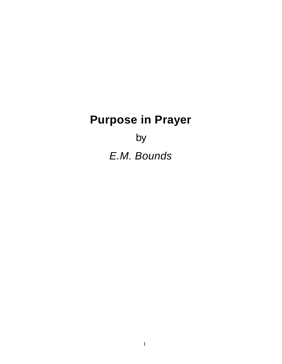# **Purpose in Prayer**

by *E.M. Bounds*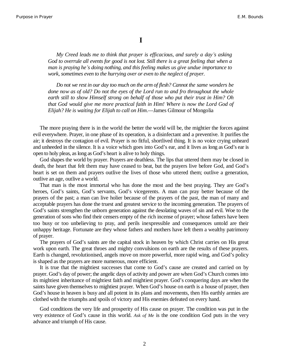**I**

*My Creed leads me to think that prayer is efficacious, and surely a day¶s asking God to overrule all events for good is not lost. Still there is a great feeling that when a man is praying he¶s doing nothing, and this feeling makes us give undue importance to work, sometimes even to the hurrying over or even to the neglect of prayer.*

*Do not we rest in our day too much on the arm of flesh? Cannot the same wonders be done now as of old? Do not the eyes of the Lord run to and fro throughout the whole earth still to show Himself strong on behalf of those who put their trust in Him? Oh that God would give me more practical faith in Him! Where is now the Lord God of Elijah? He is waiting for Elijah to call on Him*.—James Gilmour of Mongolia

The more praying there is in the world the better the world will be, the mightier the forces against evil everywhere. Prayer, in one phase of its operation, is a disinfectant and a preventive. It purifies the air; it destroys the contagion of evil. Prayer is no fitful, shortlived thing. It is no voice crying unheard and unheeded in the silence. It is a voice which goes into God's ear, and it lives as long as God's ear is open to holy pleas, as long as God's heart is alive to holy things.

God shapes the world by prayer. Prayers are deathless. The lips that uttered them may be closed in death, the heart that felt them may have ceased to beat, but the prayers live before God, and God's heart is set on them and prayers outlive the lives of those who uttered them; outlive a generation, outlive an age, outlive a world.

That man is the most immortal who has done the most and the best praying. They are God's heroes, God's saints, God's servants, God's vicegerents. A man can pray better because of the prayers of the past; a man can live holier because of the prayers of the past, the man of many and acceptable prayers has done the truest and greatest service to the incoming generation. The prayers of God's saints strengthen the unborn generation against the desolating waves of sin and evil. Woe to the generation of sons who find their censers empty of the rich incense of prayer; whose fathers have been too busy or too unbelieving to pray, and perils inexpressible and consequences untold are their unhappy heritage. Fortunate are they whose fathers and mothers have left them a wealthy patrimony of prayer.

The prayers of God's saints are the capital stock in heaven by which Christ carries on His great work upon earth. The great throes and mighty convulsions on earth are the results of these prayers. Earth is changed, revolutionised, angels move on more powerful, more rapid wing, and God's policy is shaped as the prayers are more numerous, more efficient.

It is true that the mightiest successes that come to God's cause are created and carried on by prayer. God's day of power; the angelic days of activity and power are when God's Church comes into its mightiest inheritance of mightiest faith and mightiest prayer. God's conquering days are when the saints have given themselves to mightiest prayer. When God's house on earth is a house of prayer, then God's house in heaven is busy and all potent in its plans and movements, then His earthly armies are clothed with the triumphs and spoils of victory and His enemies defeated on every hand.

God conditions the very life and prosperity of His cause on prayer. The condition was put in the very existence of God's cause in this world. *Ask of Me* is the one condition God puts in the very advance and triumph of His cause.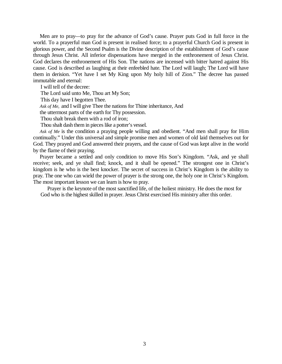Men are to pray—to pray for the advance of God's cause. Prayer puts God in full force in the world. To a prayerful man God is present in realised force; to a prayerful Church God is present in glorious power, and the Second Psalm is the Divine description of the establishment of God's cause through Jesus Christ. All inferior dispensations have merged in the enthronement of Jesus Christ. God declares the enthronement of His Son. The nations are incensed with bitter hatred against His cause. God is described as laughing at their enfeebled hate. The Lord will laugh; The Lord will have them in derision. "Yet have I set My King upon My holy hill of Zion." The decree has passed immutable and eternal:

I will tell of the decree:

The Lord said unto Me, Thou art My Son;

This day have I begotten Thee.

*Ask of Me,* and I will give Thee the nations for Thine inheritance, And

the uttermost parts of the earth for Thy possession.

Thou shalt break them with a rod of iron;

Thou shalt dash them in pieces like a potter's vessel.

*Ask of Me* is the condition a praying people willing and obedient. "And men shall pray for Him continually." Under this universal and simple promise men and women of old laid themselves out for God. They prayed and God answered their prayers, and the cause of God was kept alive in the world by the flame of their praying.

Prayer became a settled and only condition to move His Son's Kingdom. "Ask, and ye shall receive; seek, and ye shall find; knock, and it shall be opened." The strongest one in Christ's kingdom is he who is the best knocker. The secret of success in Christ's Kingdom is the ability to pray. The one who can wield the power of prayer is the strong one, the holy one in Christ's Kingdom. The most important lesson we can learn is how to pray.

Prayer is the keynote of the most sanctified life, of the holiest ministry. He does the most for God who is the highest skilled in prayer. Jesus Christ exercised His ministry after this order.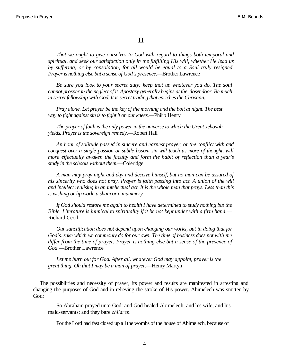### **II**

*That we ought to give ourselves to God with regard to things both temporal and spiritual, and seek our satisfaction only in the fulfilling His will, whether He lead us by suffering, or by consolation, for all would be equal to a Soul truly resigned. Prayer is nothing else but a sense of God¶s presence*.—Brother Lawrence

*Be sure you look to your secret duty; keep that up whatever you do. The soul cannot prosper in the neglect of it. Apostasy generally begins at the closet door. Be much in secret fellowship with God. It is secret trading that enriches the Christian.*

*Pray alone. Let prayer be the key of the morning and the bolt at night. The best way to fight against sin is to fight it on our knees*.—Philip Henry

*The prayer of faith is the only power in the universe to which the Great Jehovah yields. Prayer is the sovereign remedy*.—Robert Hall

*An hour of solitude passed in sincere and earnest prayer, or the conflict with and conquest over a single passion or subtle bosom sin will teach us more of thought, will more effectually awaken the faculty and form the habit of reflection than a year's study in the schools without them*.—Coleridge

*A man may pray night and day and deceive himself, but no man can be assured of his sincerity who does not pray. Prayer is faith passing into act. A union of the will and intellect realising in an intellectual act. It is the whole man that prays. Less than this is wishing or lip work, a sham or a mummery.*

*If God should restore me again to health I have determined to study nothing but the Bible. Literature is inimical to spirituality if it be not kept under with a firm hand.—* Richard Cecil

*Our sanctification does not depend upon changing our works, but in doing that for God¶s. sake which we commonly do for our own. The time of business does not with me differ from the time of prayer. Prayer is nothing else but a sense of the presence of God.*—Brother Lawrence

*Let me burn out for God. After all, whatever God may appoint, prayer is the great thing. Oh that I may be a man of prayer*.—Henry Martyn

The possibilities and necessity of prayer, its power and results are manifested in arresting and changing the purposes of God and in relieving the stroke of His power. Abimelech was smitten by God:

So Abraham prayed unto God: and God healed Abimelech, and his wife, and his maid-servants; and they bare *children.*

For the Lord had fast closed up all the wombs of the house of Abimelech, because of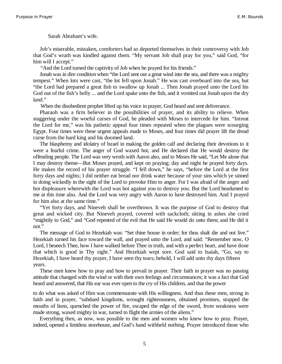Sarah Abraham's wife.

Job's miserable, mistaken, comforters had so deported themselves in their controversy with Job that God's wrath was kindled against them. "My servant Job shall pray for you," said God, "for him will I accept."

"And the Lord turned the captivity of Job when he prayed for his friends."

Jonah was in dire condition when "the Lord sent out a great wind into the sea, and there was a mighty tempest." When lots were cast, "the lot fell upon Jonah." He was cast overboard into the sea, but "the Lord had prepared a great fish to swallow up Jonah ... Then Jonah prayed unto the Lord his God out of the fish's belly ... and the Lord spake unto the fish, and it vomited out Jonah upon the dry land."

When the disobedient prophet lifted up his voice in prayer, God heard and sent deliverance.

Pharaoh was a firm believer in the possibilities of prayer, and its ability to relieve. When staggering under the woeful curses of God, he pleaded with Moses to intercede for him. "Intreat the Lord for me," was his pathetic appeal four times repeated when the plagues were scourging Egypt. Four times were these urgent appeals made to Moses, and four times did prayer lift the dread curse from the hard king and his doomed land.

The blasphemy and idolatry of Israel in making the golden calf and declaring their devotions to it were a fearful crime. The anger of God waxed hot, and He declared that He would destroy the offending people. The Lord was very wroth with Aaron also, and to Moses He said, "Let Me alone that I may destroy theme—But Moses prayed, and kept on praying; day and night he prayed forty days. He makes the record of his prayer struggle. "I fell down," he says, "before the Lord at the first forty days and nights; I did neither eat bread nor drink water because of your sins which ye sinned in doing wickedly in the sight of the Lord to provoke Him to anger. For I was afraid of the anger and hot displeasure wherewith the Lord was hot against you to destroy you. But the Lord hearkened to me at this time also. And the Lord was very angry with Aaron to have destroyed him. And I prayed for him also at the same time."

"Yet forty days, and Nineveh shall be overthrown. It was the purpose of God to destroy that great and wicked city. But Nineveh prayed, covered with sackcloth; sitting in ashes she cried "mightily to God," and "God repented of the evil that He said He would do unto them; and He did it not."

The message of God to Hezekiah was: "Set thine house in order; for thou shalt die and not live." Hezekiah turned his face toward the wall, and prayed unto the Lord, and said: "Remember now, O Lord, I beseech Thee, how I have walked before Thee in truth, and with a perfect heart, and have done that which is good in Thy sight." And Hezekiah wept sore. God said to Isaiah, "Go, say to Hezekiah, I have heard thy prayer, I have seen thy tears; behold, I will add unto thy days fifteen years.

These men knew how to pray and how to prevail in prayer. Their faith in prayer was no passing attitude that changed with the wind or with their own feelings and circumstances; it was a fact that God heard and answered, that His ear was ever open to the cry of His children, and that the power

to do what was asked of Him was commensurate with His willingness. And thus these men, strong in faith and in prayer, "subdued kingdoms, wrought righteousness, obtained promises, stopped the mouths of lions, quenched the power of fire, escaped the edge of the sword, from weakness were made strong, waxed mighty in war, turned to flight the armies of the aliens."

Everything then, as now, was possible to the men and women who knew how to pray. Prayer, indeed, opened a limitless storehouse, and God's hand withheld nothing. Prayer introduced those who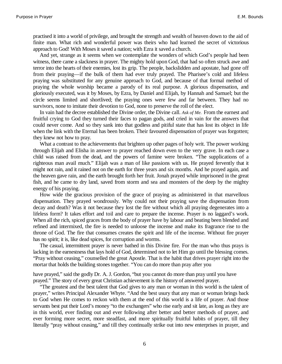practised it into a world of privilege, and brought the strength and wealth of heaven down to the aid of finite man. What rich and wonderful power was theirs who had learned the secret of victorious approach to God! With Moses it saved a nation; with Ezra it saved a church.

And yet, strange as it seems when we contemplate the wonders of which God's people had been witness, there came a slackness in prayer. The mighty hold upon God, that had so often struck awe and terror into the hearts of their enemies, lost its grip. The people, backslidden and apostate, had gone off from their praying—if the bulk of them had ever truly prayed. The Pharisee's cold and lifeless praying was substituted for any genuine approach to God, and because of that formal method of praying the whole worship became a parody of its real purpose. A glorious dispensation, and gloriously executed, was it by Moses, by Ezra, by Daniel and Elijah, by Hannah and Samuel; but the circle seems limited and shortlived; the praying ones were few and far between. They had no survivors, none to imitate their devotion to God, none to preserve the roll of the elect.

In vain had the decree established the Divine order, the Divine call. *Ask of Me.* From the earnest and fruitful crying to God they turned their faces to pagan gods, and cried in vain for the answers that could never come. And so they sank into that godless and pitiful state that has lost its object in life when the link with the Eternal has been broken. Their favoured dispensation of prayer was forgotten; they knew not how to pray.

What a contrast to the achievements that brighten up other pages of holy writ. The power working through Elijah and Elisha in answer to prayer reached down even to the very grave. In each case a child was raised from the dead, and the powers of famine were broken. "The supplications of a righteous man avail much." Elijah was a man of like passions with us. He prayed fervently that it might not rain, and it rained not on the earth for three years and six months. And he prayed again, and the heaven gave rain, and the earth brought forth her fruit. Jonah prayed while imprisoned in the great fish, and he came to dry land, saved from storm and sea and monsters of the deep by the mighty energy of his praying.

How wide the gracious provision of the grace of praying as administered in that marvellous dispensation. They prayed wondrously. Why could not their praying save the dispensation from decay and death? Was it not because they lost the fire without which all praying degenerates into a lifeless form? It takes effort and toil and care to prepare the incense. Prayer is no laggard's work. When all the rich, spiced graces from the body of prayer have by labour and beating been blended and refined and intermixed, the fire is needed to unloose the incense and make its fragrance rise to the throne of God. The fire that consumes creates the spirit and life of the incense. Without fire prayer has no spirit; it is, like dead spices, for corruption and worms.

The casual, intermittent prayer is never bathed in this Divine fire. For the man who thus prays is lacking in the earnestness that lays hold of God, determined not to let Him go until the blessing comes. "Pray without ceasing," counselled the great Apostle. That is the habit that drives prayer right into the mortar that holds the building stones together. "You can do more than pray after you

have prayed," said the godly Dr. A. J. Gordon, "but you cannot do more than pray until you have prayed." The story of every great Christian achievement is the history of answered prayer.

"The greatest and the best talent that God gives to any man or woman in this world is the talent of prayer," writes Principal Alexander Whyte. "And the best usury that any man or woman brings back to God when He comes to reckon with them at the end of this world is a life of prayer. And those servants best put their Lord's money "to the exchangers" who rise early and sit late, as long as they are in this world, ever finding out and ever following after better and better methods of prayer, and ever forming more secret, more steadfast, and more spiritually fruitful habits of prayer, till they literally "pray without ceasing," and till they continually strike out into new enterprises in prayer, and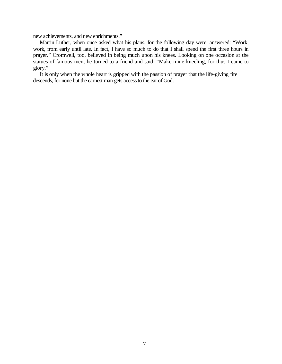new achievements, and new enrichments."

Martin Luther, when once asked what his plans, for the following day were, answered: "Work, work, from early until late. In fact, I have so much to do that I shall spend the first three hours in prayer." Cromwell, too, believed in being much upon his knees. Looking on one occasion at the statues of famous men, he turned to a friend and said: "Make mine kneeling, for thus I came to glory."

It is only when the whole heart is gripped with the passion of prayer that the life-giving fire descends, for none but the earnest man gets access to the ear of God.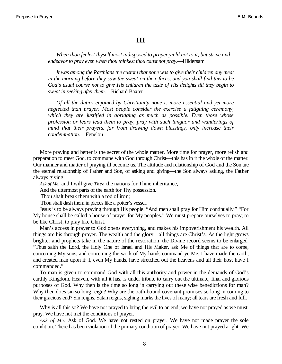#### **III**

*When thou feelest thyself most indisposed to prayer yield not to it, but strive and endeavor to pray even when thou thinkest thou canst not pray*.—Hildersam

*It was among the Parthians the custom that none was to give their children any meat in the morning before they saw the sweat on their faces, and you shall find this to be God¶s usual course not to give His children the taste of His delights till they begin to sweat in seeking after them*.—Richard Baxter

*Of all the duties enjoined by Christianity none is more essential and yet more neglected than prayer. Most people consider the exercise a fatiguing ceremony, which they are justified in abridging as much as possible. Even those whose profession or fears lead them to pray, pray with such languor and wanderings of mind that their prayers, far from drawing down blessings, only increase their condemnation*.—Fenelon

More praying and better is the secret of the whole matter. More time for prayer, more relish and preparation to meet God, to commune with God through Christ—this has in it the whole of the matter. Our manner and matter of praying ill become us. The attitude and relationship of God and the Son are the eternal relationship of Father and Son, of asking and giving—the Son always asking, the Father always giving:

*Ask of Me,* and I will give *Thee* the nations for Thine inheritance,

And the uttermost parts of the earth for Thy possession.

Thou shalt break them with a rod of iron;

Thou shalt dash them in pieces like a potter's vessel.

Jesus is to be always praying through His people. "And men shall pray for Him continually." "For My house shall be called a house of prayer for My peoples." We must prepare ourselves to pray; to be like Christ, to pray like Christ.

Man's access in prayer to God opens everything, and makes his impoverishment his wealth. All things are his through prayer. The wealth and the glory—all things are Christ's. As the light grows brighter and prophets take in the nature of the restoration, the Divine record seems to be enlarged. "Thus saith the Lord, the Holy One of Israel and His Maker, ask Me of things that are to come, concerning My sons, and concerning the work of My hands command ye Me. I have made the earth, and created man upon it: I, even My hands, have stretched out the heavens and all their host have I commanded."

To man is given to command God with all this authority and power in the demands of God's earthly Kingdom. Heaven, with all it has, is under tribute to carry out the ultimate, final and glorious purposes of God. Why then is the time so long in carrying out these wise benedictions for man? Why then does sin so long reign? Why are the oath-bound covenant promises so long in coming to their gracious end? Sin reigns, Satan reigns, sighing marks the lives of many; all tears are fresh and full.

Why is all this so? We have not prayed to bring the evil to an end; we have not prayed as we must pray. We have not met the conditions of prayer.

*Ask of Me.* Ask of God. We have not rested on prayer. We have not made prayer the sole condition. There has been violation of the primary condition of prayer. We have not prayed aright. We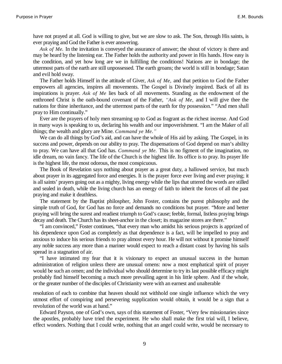have not prayed at all. God is willing to give, but we are slow to ask. The Son, through His saints, is ever praying and God the Father is ever answering.

*Ask of Me.* In the invitation is conveyed the assurance of answer; the shout of victory is there and may be heard by the listening ear. The Father holds the authority and power in His hands. How easy is the condition, and yet how long are we in fulfilling the conditions! Nations are in bondage; the uttermost parts of the earth are still unpossessed. The earth groans; the world is still in bondage; Satan and evil hold sway.

The Father holds Himself in the attitude of Giver, *Ask of Me,* and that petition to God the Father empowers all agencies, inspires all movements. The Gospel is Divinely inspired. Back of all its inspirations is prayer. *Ask of Me* lies back of all movements. Standing as the endowment of the enthroned Christ is the oath-bound covenant of the Father, *'Ask of Me*, and I will give thee the nations for thine inheritance, and the uttermost parts of the earth for thy possession." "And men shall pray to Him continually."

Ever are the prayers of holy men streaming up to God as fragrant as the richest incense. And God in many ways is speaking to us, declaring his wealth and our impoverishment. "I am the Maker of all things; the wealth and glory are Mine. *Command ye Me.´*

We can do all things by God's aid, and can have the whole of His aid by asking. The Gospel, in its success and power, depends on our ability to pray. The dispensations of God depend on man's ability to pray. We can have all that God has. *Command ye Me.* This is no figment of the imagination, no idle dream, no vain fancy. The life of the Church is the highest life. Its office is to pray. Its prayer life is the highest life, the most odorous, the most conspicuous.

The Book of Revelation says nothing about prayer as a great duty, a hallowed service, but much about prayer in its aggregated force and energies. It is the prayer force ever living and ever praying; it is all saints' prayers going out as a mighty, living energy while the lips that uttered the words are stilled and sealed in death, while the living church has an energy of faith to inherit the forces of all the past praying and make it deathless.

The statement by the Baptist philospher, John Foster, contains the purest philosophy and the simple truth of God, for God has no force and demands no conditions but prayer. "More and better praying will bring the surest and readiest triumph to God's cause; feeble, formal, listless praying brings decay and death. The Church has its sheet-anchor in the closet; its magazine stores are there."

"I am convinced," Foster continues, "that every man who amidst his serious projects is apprized of his dependence upon God as completely as that dependence is a fact, will be impelled to pray and anxious to induce his serious friends to pray almost every hour. He will not without it promise himself any noble success any more than a mariner would expect to reach a distant coast by having his sails spread in a stagnation of air.

"I have intimated my fear that it is visionary to expect an unusual success in the human administration of religion unless there are unusual omens: now a most emphatical spirit of prayer would be such an omen; and the individual who should determine to try its last possible efficacy might probably find himself becoming a much more prevailing agent in his little sphere. And if the whole, or the greater number of the disciples of Christianity were with an earnest and unalterable

resolution of each to combine that heaven should not withhold one single influence which the very utmost effort of conspiring and persevering supplication would obtain, it would be a sign that a revolution of the world was at hand."

Edward Payson, one of God's own, says of this statement of Foster, "Very few missionaries since the apostles, probably have tried the experiment. He who shall make the first trial will, I believe, effect wonders. Nothing that I could write, nothing that an angel could write, would be necessary to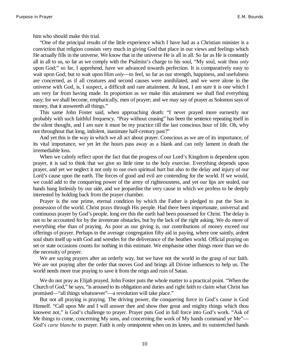him who should make this trial.

"One of the principal results of the little experience which I have had as a Christian minister is a conviction that religion consists very much in giving God that place in our views and feelings which He actually fills in the universe. We know that in the universe He is all in all. So far as He is constantly all in all to us, so far as we comply with the Psalmist's charge to his soul, "My soul, wait thou *only* upon God;" so far, I apprehend, have we advanced towards perfection. It is comparatively easy to wait upon God; but to wait upon Him *only*—to feel, so far as our strength, happiness, and usefulness are concerned, as if all creatures and second causes were annihilated, and we were alone in the universe with God, is, I suspect, a difficult and rare attainment. At least, I am sure it is one which I am very far from having made. In proportion as we make this attainment we shall find everything easy; for we shall become, emphatically, men of prayer; and we may say of prayer as Solomon says of money, that it answereth all things."

This same John Foster said, when approaching death: "I never prayed more earnestly nor probably with such faithful frequency. "Pray without ceasing" has been the sentence repeating itself in the silent thought, and I am sure it must be my practice till the last conscious hour of life. Oh, why not throughout that long, indolent, inanimate half-century past?"

And yet this is the way in which we all act about prayer. Conscious as we are of its importance, of its vital importance, we yet let the hours pass away as a blank and can only lament in death the irremediable loss.

When we calmly reflect upon the fact that the progress of our Lord's Kingdom is dependent upon prayer, it is sad to think that we give so little time to the holy exercise. Everything depends upon prayer, and yet we neglect it not only to our own spiritual hurt but also to the delay and injury of our Lord's cause upon the earth. The forces of good and evil are contending for the world. If we would, we could add to the conquering power of the army of righteousness, and yet our lips are sealed, our hands hang listlessly by our side, and we jeopardise the very cause in which we profess to be deeply interested by holding back from the prayer chamber.

Prayer is the one prime, eternal condition by which the Father is pledged to put the Son in possession of the world. Christ prays through His people. Had there been importunate, universal and continuous prayer by God's people, long ere this the earth had been possessed for Christ. The delay is not to be accounted for by the inveterate obstacles, but by the lack of the right asking. We do more of everything else than of praying. As poor as our giving is, our contributions of money exceed our offerings of prayer. Perhaps in the average congregation fifty aid in paying, where one saintly, ardent soul shuts itself up with God and wrestles for the deliverance of the heathen world. Official praying on set or state occasions counts for nothing in this estimate. We emphasise other things more than we do the necessity of prayer.

We are saying prayers after an orderly way, but we have not the world in the grasp of our faith. We are not praying after the order that moves God and brings all Divine influences to help us. The world needs more true praying to save it from the reign and ruin of Satan.

We do not pray as Elijah prayed. John Foster puts the whole matter to a practical point. "When the Church of God," he says, "is aroused to its obligation and duties and right faith to claim what Christ has promised—"all things whatsoever"—a revolution will take place."

But not all praying is praying. The driving power, the conquering force in God's cause is God Himself. "Call upon Me and I will answer thee and show thee great and mighty things which thou knowest not," is God's challenge to prayer. Prayer puts God in full force into God's work. "Ask of Me things to come, concerning My sons, and concerning the work of My hands command ye Me"— God's *carte blanche* to prayer. Faith is only omnipotent when on its knees, and its outstretched hands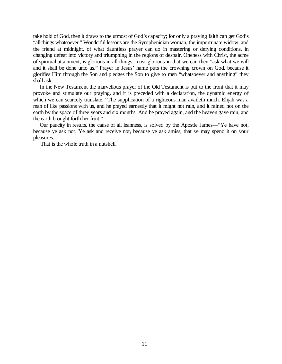take hold of God, then it draws to the utmost of God's capacity; for only a praying faith can get God's "all things whatsoever." Wonderful lessons are the Syrophenician woman, the importunate widow, and the friend at midnight, of what dauntless prayer can do in mastering or defying conditions, in changing defeat into victory and triumphing in the regions of despair. Oneness with Christ, the acme of spiritual attainment, is glorious in all things; most glorious in that we can then "ask what we will and it shall be done unto us." Prayer in Jesus' name puts the crowning crown on God, because it glorifies Him through the Son and pledges the Son to give to men "whatsoever and anything" they shall ask.

In the New Testament the marvellous prayer of the Old Testament is put to the front that it may provoke and stimulate our praying, and it is preceded with a declaration, the dynamic energy of which we can scarcely translate. "The supplication of a righteous man availeth much. Elijah was a man of like passions with us, and he prayed earnestly that it might not rain, and it rained not on the earth by the space of three years and six months. And he prayed again, and the heaven gave rain, and the earth brought forth her fruit."

Our paucity in results, the cause of all leanness, is solved by the Apostle James—"Ye have not, because ye ask not. Ye ask and receive not, because ye ask amiss, that ye may spend it on your pleasures."

That is the whole truth in a nutshell.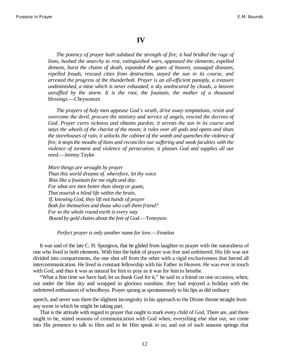#### **IV**

*The potency of prayer hath subdued the strength of fire; it had bridled the rage of lions, hushed the anarchy to rest, extinguished wars, appeased the elements, expelled demons, burst the chains of death, expanded the gates of heaven, assuaged diseases, repelled frauds, rescued cities from destruction, stayed the sun in its course, and arrested the progress of the thunderbolt. Prayer is an all-efficient panoply, a treasure undiminished, a mine which is never exhausted, a sky unobscured by clouds, a heaven unruffled by the storm. It is the root, the fountain, the mother of a thousand blessings*.—Chrysostom

*The prayers of holy men appease God¶s wrath, drive away temptations, resist and overcome the devil, procure the ministry and service of angels, rescind the decrees of God. Prayer cures sickness and obtains pardon; it arrests the sun in its course and stays the wheels of the chariot of the moon; it rules over all gods and opens and shuts the storehouses of rain, it unlocks the cabinet of the womb and quenches the violence of fire; it stops the mouths of lions and reconciles our suffering and weak faculties with the violence of torment and violence of persecution; it pleases God and supplies all our need*.—Jeremy Taylor

*More things are wrought by prayer Than this world dreams of. wherefore, let thy voice Rise like a fountain for me night and day. For what are men better than sheep or goats, That nourish a blind life within the brain, If, knowing God, they lift not hands of prayer Both for themselves and those who call them friend? For so the whole round earth is every way Bound by gold chains about the feet of God*.—Tennyson

*Perfect prayer is only another name for love*.—Fenelon

It was said of the late C. H. Spurgeon, that he glided from laughter to prayer with the naturalness of one who lived in both elements. With him the habit of prayer was free and unfettered. His life was not divided into compartments, the one shut off from the other with a rigid exclusiveness that barred all intercommunication. He lived in constant fellowship with his Father in Heaven. He was ever in touch with God, and thus it was as natural for him to pray as it was for him to breathe.

"What a fine time we have had; let us thank God for it," he said to a friend on one occasion, when, out under the blue sky and wrapped in glorious sunshine, they had enjoyed a holiday with the unfettered enthusiasm of schoolboys. Prayer sprang as spontaneously to his lips as did ordinary

speech, and never was there the slightest incongruity in his approach to the Divine throne straight from any scene in which he might be taking part.

That is the attitude with regard to prayer that ought to mark every child of God. There are, and there ought to be, stated seasons of communication with God when, everything else shut out, we come into His presence to talk to Him and to let Him speak to us; and out of such seasons springs that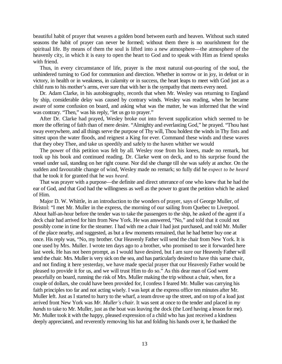beautiful habit of prayer that weaves a golden bond between earth and heaven. Without such stated seasons the habit of prayer can never be formed; without them there is no nourishment for the spiritual life. By means of them the soul is lifted into a new atmosphere—the atmosphere of the heavenly city, in which it is easy to open the heart to God and to speak with Him as friend speaks with friend.

Thus, in every circumstance of life, prayer is the most natural out-pouring of the soul, the unhindered turning to God for communion and direction. Whether in sorrow or in joy, in defeat or in victory, in health or in weakness, in calamity or in success, the heart leaps to meet with God just as a child runs to his mother's arms, ever sure that with her is the sympathy that meets every need.

Dr. Adam Clarke, in his autobiography, records that when Mr. Wesley was returning to England by ship, considerable delay was caused by contrary winds. Wesley was reading, when he became aware of some confusion on board, and asking what was the matter, he was informed that the wind was contrary. "Then," was his reply, "let us go to prayer."

After Dr. Clarke had prayed, Wesley broke out into fervent supplication which seemed to be more the offering of faith than of mere desire. "Almighty and everlasting God," he prayed. "Thou hast sway everywhere, and all things serve the purpose of Thy will, Thou holdest the winds in Thy fists and sittest upon the water floods, and reignest a King for ever. Command these winds and these waves that they obey Thee, and take us speedily and safely to the haven whither we would

The power of this petition was felt by all. Wesley rose from his knees, made no remark, but took up his book and continued reading. Dr. Clarke went on deck, and to his surprise found the vessel under sail, standing on her right course. Nor did she change till she was safely at anchor. On the sudden and favourable change of wind, Wesley made no remark; so fully did he *expect to be heard* that he took it for granted that he *was heard.*

That was prayer with a purpose—the definite and direct utterance of one who knew that he had the ear of God, and that God had the willingness as well as the power to grant the petition which he asked of Him.

Major D. W. Whittle, in an introduction to the wonders of prayer, says of George Muller, of Bristol: "I met Mr. Muller in the express, the morning of our sailing from Quebec to Liverpool. About half-an-hour before the tender was to take the passengers to the ship, he asked of the agent if a deck chair had arrived for him from New York. He was answered, "No," and told that it could not possibly come in time for the steamer. I had with me a chair I had just purchased, and told Mr. Muller of the place nearby, and suggested, as but a few moments remained, that he had better buy one at once. His reply was, "No, my brother. Our Heavenly Father will send the chair from New York. It is one used by Mrs. Muller. I wrote ten days ago to a brother, who promised to see it forwarded here last week. He has not been prompt, as I would have desired, but I am sure our Heavenly Father will send the chair. Mrs. Muller is very sick on the sea, and has particularly desired to have this same chair, and not finding it here yesterday, we have made special prayer that our Heavenly Father would be pleased to provide it for us, and we will trust Him to do so." As this dear man of God went peacefully on board, running the risk of Mrs. Muller making the trip without a chair, when, for a couple of dollars, she could have been provided for, I confess I feared Mr. Muller was carrying his faith principles too far and not acting wisely. I was kept at the express office ten minutes after Mr. Muller left. Just as I started to hurry to the wharf, a team drove up the street, and on top of a load just arrived front New York was *Mr. Muller's chair*. It was sent at once to the tender and placed in *my hands* to take to Mr. Muller, just as the boat was leaving the dock (the Lord having a lesson for me). Mr. Muller took it with the happy, pleased expression of a child who has just received a kindness deeply appreciated, and reverently removing his hat and folding his hands over it, he thanked the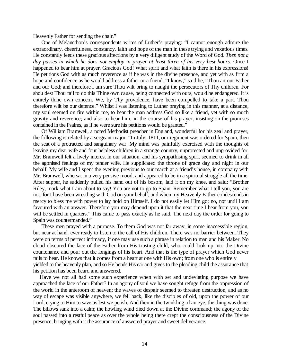Heavenly Father for sending the chair."

One of Melancthon's correspondents writes of Luther's praying: "I cannot enough admire the extraordinary, cheerfulness, constancy, faith and hope of the man in these trying and vexatious times. He constantly feeds these gracious affections by a very diligent study of the Word of God. *Then not a day passes in which he does not employ in prayer at least three of his very best hours.* Once I happened to hear him at prayer. Gracious God! What spirit and what faith is there in his expressions! He petitions God with as much reverence as if he was in the divine presence, and yet with as firm a hope and confidence as he would address a father or a friend. "I know," said he, "Thou art our Father and our God; and therefore I am sure Thou wilt bring to naught the persecutors of Thy children. For shouldest Thou fail to do this Thine own cause, being connected with ours, would be endangered. It is entirely thine own concern. We, by Thy providence, have been compelled to take a part. Thou therefore wilt be our defence." Whilst I was listening to Luther praying in this manner, at a distance, my soul seemed on fire within me, to hear the man address God so like a friend, yet with so much gravity and reverence; and also to hear him, in the course of his prayer, insisting on the promises contained in the Psalms, as if he were sure his petitions would be granted."

Of William Bramwell, a noted Methodist preacher in England, wonderful for his zeal and prayer, the following is related by a sergeant major. "In July, 1811, our regiment was ordered for Spain, then the seat of a protracted and sanguinary war. My mind was painfully exercised with the thoughts of leaving my dear wife and four helpless children in a strange country, unprotected and unprovided for. Mr. Bramwell felt a lively interest in our situation, and his sympathising spirit seemed to drink in all the agonised feelings of my tender wife. He supplicated the throne of grace day and night in our behalf. My wife and I spent the evening previous to our march at a friend's house, in company with Mr. Bramwell, who sat in a very pensive mood, and appeared to be in a spiritual struggle all the time. After supper, he suddenly pulled his hand out of his bosom, laid it on my knee, and said: "Brother Riley, mark what I am about to say! You are not to go to Spain. Remember what I tell you, you are not; for I have been wrestling with God on your behalf, and when my Heavenly Father condescends in mercy to bless me with power to lay hold on Himself, I do not easily let Him go; no, not until I am favoured with an answer. Therefore you may depend upon it that the next time I hear from you, you will be settled in quarters." This came to pass exactly as he said. The next day the order for going to Spain was countermanded."

These men prayed with a purpose. To them God was not far away, in some inaccessible region, but near at hand, ever ready to listen to the call of His children. There was no barrier between. They were on terms of perfect intimacy, if one may use such a phrase in relation to man and his Maker. No cloud obscured the face of the Father from His trusting child, who could look up into the Divine countenance and pour out the longings of his heart. And that is the type of prayer which God never fails to hear. He knows that it comes from a heart at one with His own; from one who is entirely yielded to the heavenly plan, and so He bends His ear and gives to the pleading child the assurance that his petition has been heard and answered.

Have we not all had some such experience when with set and undeviating purpose we have approached the face of our Father? In an agony of soul we have sought refuge from the oppression of the world in the anteroom of heaven; the waves of despair seemed to threaten destruction, and as no way of escape was visible anywhere, we fell back, like the disciples of old, upon the power of our Lord, crying to Him to save us lest we perish. And then in the twinkling of an eye, the thing was done. The billows sank into a calm; the howling wind died down at the Divine command; the agony of the soul passed into a restful peace as over the whole being there crept the consciousness of the Divine presence, bringing with it the assurance of answered prayer and sweet deliverance.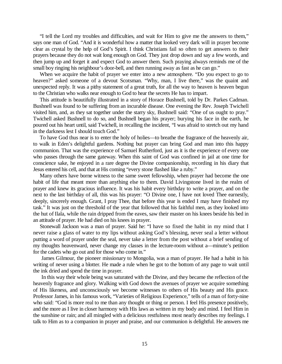"I tell the Lord my troubles and difficulties, and wait for Him to give me the answers to them," says one man of God. "And it is wonderful how a matter that looked very dark will in prayer become clear as crystal by the help of God's Spirit. I think Christians fail so often to get answers to their prayers because they do not wait long enough on God. They just drop down and say a few words, and then jump up and forget it and expect God to answer them. Such praying always reminds me of the small boy ringing his neighbour's door-bell, and then running away as fast as he can go."

When we acquire the habit of prayer we enter into a new atmosphere. "Do you expect to go to heaven?" asked someone of a devout Scotsman. "Why, man, I live there," was the quaint and unexpected reply. It was a pithy statement of a great truth, for all the way to heaven is heaven begun to the Christian who walks near enough to God to hear the secrets He has to impart.

This attitude is beautifully illustrated in a story of Horace Bushnell, told by Dr. Parkes Cadman. Bushnell was found to be suffering from an incurable disease. One evening the Rev. Joseph Twichell visited him, and, as they sat together under the starry sky, Bushnell said: "One of us ought to pray." Twichell asked Bushnell to do so, and Bushnell began his prayer; burying his face in the earth, he poured out his heart until, said Twichell, in recalling the incident, "I was afraid to stretch out my hand in the darkness lest I should touch God."

To have God thus near is to enter the holy of holies—to breathe the fragrance of the heavenly air, to walk in Eden's delightful gardens. Nothing but prayer can bring God and man into this happy communion. That was the experience of Samuel Rutherford, just as it is the experience of every one who passes through the same gateway. When this saint of God was confined in jail at one time for conscience sake, he enjoyed in a rare degree the Divine companionship, recording in his diary that Jesus entered his cell, and that at His coming "every stone flashed like a ruby."

Many others have borne witness to the same sweet fellowship, when prayer had become the one habit of life that meant more than anything else to them. David Livingstone lived in the realm of prayer and knew its gracious influence. It was his habit every birthday to write a prayer, and on the next to the last birthday of all, this was his prayer: "O Divine one, I have not loved Thee earnestly, deeply, sincerely enough. Grant, I pray Thee, that before this year is ended I may have finished my task." It was just on the threshold of the year that followed that his faithful men, as they looked into the hut of Ilala, while the rain dripped from the eaves, saw their master on his knees beside his bed in an attitude of prayer. He had died on his knees in prayer.

Stonewall Jackson was a man of prayer. Said he: "I have so fixed the habit in my mind that I never raise a glass of water to my lips without asking God's blessing, never seal a letter without putting a word of prayer under the seal, never take a letter from the post without a brief sending of my thoughts heavenward, never change my classes in the lecture-room without a—minute's petition for the cadets who go out and for those who come in."

James Gilmour, the pioneer missionary to Mongolia, was a man of prayer. He had a habit in his writing of never using a blotter. He made a rule when he got to the bottom of any page to wait until the ink dried and spend the time in prayer.

In this way their whole being was saturated with the Divine, and they became the reflection of the heavenly fragrance and glory. Walking with God down the avenues of prayer we acquire something of His likeness, and unconsciously we become witnesses to others of His beauty and His grace. Professor James, in his famous work, "Varieties of Religious Experience," tells of a man of forty-nine who said: "God is more real to me than any thought or thing or person. I feel His presence positively, and the more as I live in closer harmony with His laws as written in my body and mind. I feel Him in the sunshine or rain; and all mingled with a delicious restfulness most nearly describes my feelings. I talk to Him as to a companion in prayer and praise, and our communion is delightful. He answers me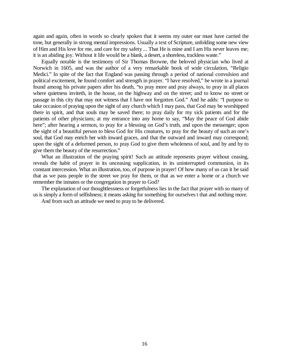again and again, often in words so clearly spoken that it seems my outer ear must have carried the tone, but generally in strong mental impressions. Usually a text of Scripture, unfolding some new view of Him and His love for me, and care for my safety ... That He is mine and I am His never leaves me; it is an abiding joy. Without it life would be a blank, a desert, a shoreless, trackless waste."

Equally notable is the testimony of Sir Thomas Browne, the beloved physician who lived at Norwich in 1605, and was the author of a very remarkable book of wide circulation, "Religio Medici." In spite of the fact that England was passing through a period of national convulsion and political excitement, he found comfort and strength in prayer. "I have resolved," he wrote in a journal found among his private papers after his death, "to pray more and pray always, to pray in all places where quietness inviteth, in the house, on the highway and on the street; and to know no street or passage in this city that may not witness that I have not forgotten God." And he adds: "I purpose to take occasion of praying upon the sight of any church which I may pass, that God may be worshipped there in spirit, and that souls may be saved there; to pray daily for my sick patients and for the patients of other physicians; at my entrance into any home to say, "May the peace of God abide here"; after hearing a sermon, to pray for a blessing on God's truth, and upon the messenger; upon the sight of a beautiful person to bless God for His creatures, to pray for the beauty of such an one's soul, that God may enrich her with inward graces, and that the outward and inward may correspond; upon the sight of a deformed person, to pray God to give them wholeness of soul, and by and by to give them the beauty of the resurrection."

What an illustration of the praying spirit! Such an attitude represents prayer without ceasing, reveals the habit of prayer in its unceasing supplication, in its uninterrupted communion, in its constant intercession. What an illustration, too, of purpose in prayer! Of how many of us can it be said that as we pass people in the street we pray for them, or that as we enter a home or a church we remember the inmates or the congregation in prayer to God?

The explanation of our thoughtlessness or forgetfulness lies in the fact that prayer with so many of us is simply a form of selfishness; it means asking for something for ourselves t that and nothing more.

And from such an attitude we need to pray to be delivered.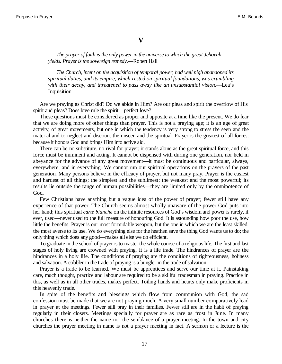#### **V**

*The prayer of faith is the only power in the universe to which the great Jehovah yields. Prayer is the sovereign remedy*.—Robert Hall

*The Church, intent on the acquisition of temporal power, had well nigh abandoned its spiritual duties, and its empire, which rested on spiritual foundations, was crumbling with their decay, and threatened to pass away like an unsubstantial vision*.—Lea's Inquisition

Are we praying as Christ did? Do we abide in Him? Are our pleas and spirit the overflow of His spirit and pleas? Does love rule the spirit—perfect love?

These questions must be considered as proper and apposite at a time like the present. We do fear that we are doing more of other things than prayer. This is not a praying age; it is an age of great activity, of great movements, but one in which the tendency is very strong to stress the seen and the material and to neglect and discount the unseen and the spiritual. Prayer is the greatest of all forces, because it honors God and brings Him into active aid.

There can be no substitute, no rival for prayer; it stands alone as the great spiritual force, and this force must be imminent and acting. It cannot be dispensed with during one generation, nor held in abeyance for the advance of any great movement—it must be continuous and particular, always, everywhere, and in everything. We cannot run our spiritual operations on the prayers of the past generation. Many persons believe in the efficacy of prayer, but not many pray. Prayer is the easiest and hardest of all things; the simplest and the sublimest; the weakest and the most powerful; its results lie outside the range of human possibilities—they are limited only by the omnipotence of God.

Few Christians have anything but a vague idea of the power of prayer; fewer still have any experience of that power. The Church seems almost wholly unaware of the power God puts into her hand; this spiritual *carte blanche* on the infinite resources of God's wisdom and power is rarely, if ever, used—never used to the full measure of honouring God. It is astounding how poor the use, how little the benefits. Prayer is our most formidable weapon, but the one in which we are the least skilled, the most averse to its use. We do everything else for the heathen save the thing God wants us to do; the only thing which does any good—makes all else we do efficient.

To graduate in the school of prayer is to master the whole course of a religious life. The first and last stages of holy living are crowned with praying. It is a life trade. The hindrances of prayer are the hindrances in a holy life. The conditions of praying are the conditions of righteousness, holiness and salvation. A cobbler in the trade of praying is a bungler in the trade of salvation.

Prayer is a trade to be learned. We must be apprentices and serve our time at it. Painstaking care, much thought, practice and labour are required to be a skillful tradesman in praying. Practice in this, as well as in all other trades, makes perfect. Toiling hands and hearts only make proficients in this heavenly trade.

In spite of the benefits and blessings which flow from communion with God, the sad confession must be made that we are not praying much. A very small number comparatively lead in prayer at the meetings. Fewer still pray in their families. Fewer still are in the habit of praying regularly in their closets. Meetings specially for prayer are as rare as frost in June. In many churches there is neither the name nor the semblance of a prayer meeting. In the town and city churches the prayer meeting in name is not a prayer meeting in fact. A sermon or a lecture is the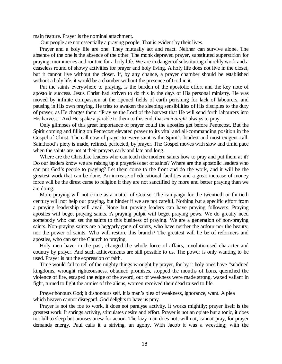main feature. Prayer is the nominal attachment.

Our people are not essentially a praying people. That is evident by their lives.

Prayer and a holy life are one. They mutually act and react. Neither can survive alone. The absence of the one is the absence of the other. The monk depraved prayer, substituted superstition for praying, mummeries and routine for a holy life. We are in danger of substituting churchly work and a ceaseless round of showy activities for prayer and holy living. A holy life does not live in the closet, but it cannot live without the closet. If, by any chance, a prayer chamber should be established without a holy life, it would be a chamber without the presence of God in it.

Put the saints everywhere to praying, is the burden of the apostolic effort and the key note of apostolic success. Jesus Christ had striven to do this in the days of His personal ministry. He was moved by infinite compassion at the ripened fields of earth perishing for lack of labourers, and pausing in His own praying, He tries to awaken the sleeping sensibilities of His disciples to the duty of prayer, as He charges them: "Pray ye the Lord of the harvest that He will send forth labourers into His harvest." And He spake a parable to them to this end, that *men ought* always to pray.

Only glimpses of this great importance of prayer could the apostles get before Pentecost. But the Spirit coming and filling on Pentecost elevated prayer to its vital and all-commanding position in the Gospel of Christ. The call now of prayer to every saint is the Spirit's loudest and most exigent call. Sainthood's piety is made, refined, perfected, by prayer. The Gospel moves with slow and timid pace when the saints are not at their prayers early and late and long.

Where are the Christlike leaders who can teach the modern saints how to pray and put them at it? Do our leaders know we are raising up a prayerless set of saints? Where are the apostolic leaders who can put God's people to praying? Let them come to the front and do the work, and it will be the greatest work that can be done. An increase of educational facilities and a great increase of money force will be the direst curse to religion if they are not sanctified by more and better praying than we are doing.

More praying will not come as a matter of Course. The campaign for the twentieth or thirtieth century will not help our praying, but hinder if we are not careful. Nothing but a specific effort from a praying leadership will avail. None but praying leaders can have praying followers. Praying apostles will beget praying saints. A praying pulpit will beget praying pews. We do greatly need somebody who can set the saints to this business of praying. We are a generation of non-praying saints. Non-praying saints are a beggarly gang of saints, who have neither the ardour nor the beauty, nor the power of saints. Who will restore this branch? The greatest will he be of reformers and apostles, who can set the Church to praying.

Holy men have, in the past, changed the whole force of affairs, revolutionised character and country by prayer. And such achievements are still possible to us. The power is only wanting to be used. Prayer is but the expression of faith.

Time would fail to tell of the mighty things wrought by prayer, for by it holy ones have "subdued kingdoms, wrought righteousness, obtained promises, stopped the mouths of lions, quenched the violence of fire, escaped the edge of the sword, out of weakness were made strong, waxed valiant in fight, turned to fight the armies of the aliens, women received their dead raised to life.

Prayer honours God; it dishonours self. It is man's plea of weakness, ignorance, want. A plea which heaven cannot disregard. God delights to have us pray.

Prayer is not the foe to work, it does not paralyse activity. It works mightily; prayer itself is the greatest work. It springs activity, stimulates desire and effort. Prayer is not an opiate but a tonic, it does not lull to sleep but arouses anew for action. The lazy man does not, will not, cannot pray, for prayer demands energy. Paul calls it a striving, an agony. With Jacob it was a wrestling; with the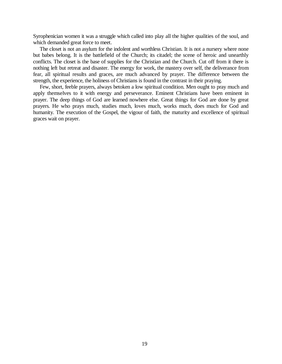Syrophenician women it was a struggle which called into play all the higher qualities of the soul, and which demanded great force to meet.

The closet is not an asylum for the indolent and worthless Christian. It is not a nursery where none but babes belong. It is the battlefield of the Church; its citadel; the scene of heroic and unearthly conflicts. The closet is the base of supplies for the Christian and the Church. Cut off from it there is nothing left but retreat and disaster. The energy for work, the mastery over self, the deliverance from fear, all spiritual results and graces, are much advanced by prayer. The difference between the strength, the experience, the holiness of Christians is found in the contrast in their praying.

Few, short, feeble prayers, always betoken a low spiritual condition. Men ought to pray much and apply themselves to it with energy and perseverance. Eminent Christians have been eminent in prayer. The deep things of God are learned nowhere else. Great things for God are done by great prayers. He who prays much, studies much, loves much, works much, does much for God and humanity. The execution of the Gospel, the vigour of faith, the maturity and excellence of spiritual graces wait on prayer.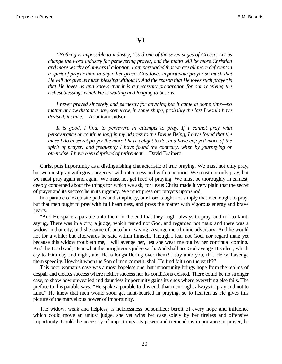#### **VI**

*³Nothing is impossible to industry, ³said one of the seven sages of Greece. Let us change the word industry for persevering prayer, and the motto will be more Christian and more worthy of universal adoption. I am persuaded that we are all more deficient in a spirit of prayer than in any other grace. God loves importunate prayer so much that He will not give us much blessing without it. And the reason that He loves such prayer is that He loves us and knows that it is a necessary preparation for our receiving the richest blessings which He is waiting and longing to bestow.*

*I* never prayed sincerely and earnestly for anything but it came at some time—no *matter at how distant a day, somehow, in some shape, probably the last I would have devised, it came*.—Adoniram Judson

*It is good, I find, to persevere in attempts to pray. If I cannot pray with perseverance or continue long in my address to the Divine Being, I have found that the more I do in secret prayer the more I have delight to do, and have enjoyed more of the spirit of prayer; and frequently I have found the contrary, when by journeying or otherwise, I have been deprived of retirement*.—David Brainerd

Christ puts importunity as a distinguishing characteristic of true praying. We must not only pray, but we must pray with great urgency, with intentness and with repetition. We must not only pray, but we must pray again and again. We must not get tired of praying. We must be thoroughly in earnest, deeply concerned about the things for which we ask, for Jesus Christ made it very plain that the secret of prayer and its success lie in its urgency. We must press our prayers upon God.

In a parable of exquisite pathos and simplicity, our Lord taught not simply that men ought to pray, but that men ought to pray with full heartiness, and press the matter with vigorous energy and brave hearts.

"And He spake a parable unto them to the end that they ought always to pray, and not to faint; saying, There was in a city, a judge, which feared not God, and regarded not man: and there was a widow in that city; and she came oft unto him, saying, Avenge me of mine adversary. And he would not for a while: but afterwards he said within himself, Though I fear not God, nor regard man; yet because this widow troubleth me, I will avenge her, lest she wear me out by her continual coming. And the Lord said, Hear what the unrighteous judge saith. And shall not God avenge His elect, which cry to Him day and night, and He is longsuffering over them? I say unto you, that He will avenge them speedily. Howbeit when the Son of man cometh, shall He find faith on the earth?"

This poor woman's case was a most hopeless one, but importunity brings hope from the realms of despair and creates success where neither success nor its conditions existed. There could be no stronger case, to show how unwearied and dauntless importunity gains its ends where everything else fails. The preface to this parable says: "He spake a parable to this end, that men ought always to pray and not to faint." He knew that men would soon get faint-hearted in praying, so to hearten us He gives this picture of the marvellous power of importunity.

The widow, weak and helpless, is helplessness personified; bereft of every hope and influence which could move an unjust judge, she yet wins her case solely by her tireless and offensive importunity. Could the necessity of importunity, its power and tremendous importance in prayer, be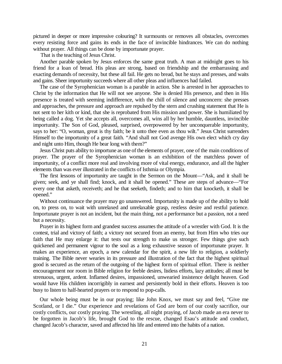pictured in deeper or more impressive colouring? It surmounts or removes all obstacles, overcomes every resisting force and gains its ends in the face of invincible hindrances. We can do nothing without prayer. All things can be done by importunate prayer.

That is the teaching of Jesus Christ.

Another parable spoken by Jesus enforces the same great truth. A man at midnight goes to his friend for a loan of bread. His pleas are strong, based on friendship and the embarrassing and exacting demands of necessity, but these all fail. He gets no bread, but he stays and presses, and waits and gains. Sheer importunity succeeds where all other pleas and influences had failed.

The case of the Syrophenician woman is a parable in action. She is arrested in her approaches to Christ by the information that He will not see anyone. She is denied His presence, and then in His presence is treated with seeming indifference, with the chill of silence and unconcern: she presses and approaches, the pressure and approach are repulsed by the stern and crushing statement that He is not sent to her kith or kind, that she is reprobated from His mission and power. She is humiliated by being called a dog. Yet she accepts all, overcomes all, wins all by her humble, dauntless, invincible importunity. The Son of God, pleased, surprised, overpowered by her unconquerable importunity, says to her: "O, woman, great is thy faith; be it unto thee even as thou wilt." Jesus Christ surrenders Himself to the importunity of a great faith. "And shall not God avenge His own elect which cry day and night unto Him, though He bear long with them?"

Jesus Christ puts ability to importune as one of the elements of prayer, one of the main conditions of prayer. The prayer of the Syrophenician woman is an exhibition of the matchless power of importunity, of a conflict more real and involving more of vital energy, endurance, and all the higher elements than was ever illustrated in the conflicts of Isthmia or Olympia.

The first lessons of importunity are taught in the Sermon on the Mount—"Ask, and it shall be given; seek, and ye shall find; knock, and it shall be opened." These are steps of advance—"For every one that asketh, receiveth; and he that seeketh, findeth; and to him that knocketh, it shall be opened."

Without continuance the prayer may go unanswered. Importunity is made up of the ability to hold on, to press on, to wait with unrelaxed and unrelaxable grasp, restless desire and restful patience. Importunate prayer is not an incident, but the main thing, not a performance but a passion, not a need but a necessity.

Prayer in its highest form and grandest success assumes the attitude of a wrestler with God. It is the contest, trial and victory of faith; a victory not secured from an enemy, but from Him who tries our faith that He may enlarge it: that tests our strength to make us stronger. Few things give such quickened and permanent vigour to the soul as a long exhaustive season of importunate prayer. It makes an experience, an epoch, a new calendar for the spirit, a new life to religion, a soldierly training. The Bible never wearies in its pressure and illustration of the fact that the highest spiritual good is secured as the return of the outgoing of the highest form of spiritual effort. There is neither encouragement nor room in Bible religion for feeble desires, listless efforts, lazy attitudes; all must be strenuous, urgent, ardent. Inflamed desires, impassioned, unwearied insistence delight heaven. God would have His children incorrigibly in earnest and persistently bold in their efforts. Heaven is too busy to listen to half-hearted prayers or to respond to pop-calls.

Our whole being must be in our praying; like John Knox, we must say and feel, "Give me Scotland, or I die." Our experience and revelations of God are born of our costly sacrifice, our costly conflicts, our costly praying. The wrestling, all night praying, of Jacob made an era never to be forgotten in Jacob's life, brought God to the rescue, changed Esau's attitude and conduct, changed Jacob's character, saved and affected his life and entered into the habits of a nation.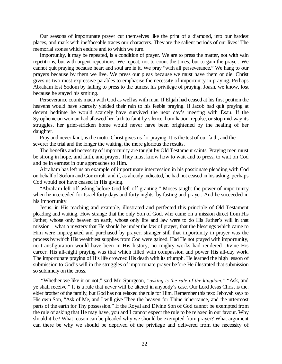Our seasons of importunate prayer cut themselves like the print of a diamond, into our hardest places, and mark with ineffaceable traces our characters. They are the salient periods of our lives! The memorial stones which endure and to which we turn.

Importunity, it may be repeated, is a condition of prayer. We are to press the matter, not with vain repetitions, but with urgent repetitions. We repeat, not to count the times, but to gain the prayer. We cannot quit praying because heart and soul are in it. We pray "with all perseverance." We hang to our prayers because by them we live. We press our pleas because we must have them or die. Christ gives us two most expressive parables to emphasise the necessity of importunity in praying. Perhaps Abraham lost Sodom by failing to press to the utmost his privilege of praying. Joash, we know, lost because he stayed his smiting.

Perseverance counts much with Cod as well as with man. If Elijah had ceased at his first petition the heavens would have scarcely yielded their rain to his feeble praying. If Jacob had quit praying at decent bedtime he would scarcely have survived the next day's meeting with Esau. If the Syrophenician woman had allowed her faith to faint by silence, humiliation, repulse, or stop mid-way its struggles, her grief-stricken home would never have been brightened by the healing of her daughter.

Pray and never faint, is the motto Christ gives us for praying. It is the test of our faith, and the severer the trial and the longer the waiting, the more glorious the results.

The benefits and necessity of importunity are taught by Old Testament saints. Praying men must be strong in hope, and faith, and prayer. They must know how to wait and to press, to wait on Cod and be in earnest in our approaches to Him.

Abraham has left us an example of importunate intercession in his passionate pleading with Cod on behalf of Sodom and Gomorrah, and if, as already indicated, he had not ceased in his asking, perhaps Cod would not have ceased in His giving.

"Abraham left off asking before God left off granting." Moses taught the power of importunity when he interceded for Israel forty days and forty nights, by fasting and prayer. And he succeeded in his importunity.

Jesus, in His teaching and example, illustrated and perfected this principle of Old Testament pleading and waiting. How strange that the only Son of God, who came on a mission direct from His Father, whose only heaven on earth, whose only life and law were to do His Father's will in that mission—what a mystery that He should be under the law of prayer, that the blessings which came to Him were impregnated and purchased by prayer; stranger still that importunity in prayer was the process by which His wealthiest supplies from Cod were gained. Had He not prayed with importunity, no transfiguration would have been in His history, no mighty works had rendered Divine His career. His all-night praying was that which filled with compassion and power His all-day work. The importunate praying of His life crowned His death with its triumph. He learned the high lesson of submission to God's will in the struggles of importunate prayer before He illustrated that submission so sublimely on the cross.

"Whether we like it or not," said Mr. Spurgeon, "asking is the rule of the kingdom." "Ask, and ye shall receive." It is a rule that never will be altered in anybody's case. Our Lord Jesus Christ is the. elder brother of the family, but God has not relaxed the rule for Him. Remember this text: Jehovah says to His own Son, "Ask of Me, and I will give Thee the heaven for Thine inheritance, and the uttermost parts of the earth for Thy possession." If the Royal and Divine Son of God cannot be exempted from the rule of asking that He may have, you and I cannot expect the rule to be relaxed in our favour. Why should it be? What reason can be pleaded why we should be exempted from prayer? What argument can there be why we should be deprived of the privilege and delivered from the necessity of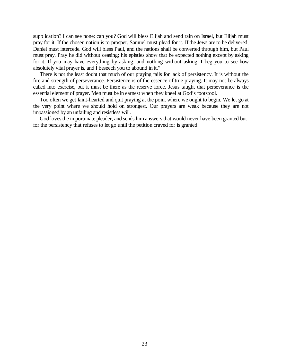supplication? I can see none: can you? God will bless Elijah and send rain on Israel, but Elijah must pray for it. If the chosen nation is to prosper, Samuel must plead for it. If the Jews are to be delivered, Daniel must intercede. God will bless Paul, and the nations shall be converted through him, but Paul must pray. Pray he did without ceasing; his epistles show that he expected nothing except by asking for it. If you may have everything by asking, and nothing without asking, I beg you to see how absolutely vital prayer is, and I beseech you to abound in it."

There is not the least doubt that much of our praying fails for lack of persistency. It is without the fire and strength of perseverance. Persistence is of the essence of true praying. It may not be always called into exercise, but it must be there as the reserve force. Jesus taught that perseverance is the essential element of prayer. Men must be in earnest when they kneel at God's footstool.

Too often we get faint-hearted and quit praying at the point where we ought to begin. We let go at the very point where we should hold on strongest. Our prayers are weak because they are not impassioned by an unfailing and resistless will.

God loves the importunate pleader, and sends him answers that would never have been granted but for the persistency that refuses to let go until the petition craved for is granted.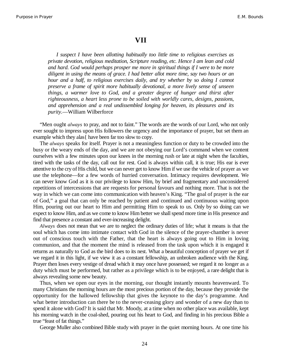#### **VII**

*I suspect I have been allotting habitually too little time to religious exercises as private devotion, religious meditation, Scripture reading, etc. Hence I am lean and cold and hard. God would perhaps prosper me more in spiritual things if I were to be more diligent in using the means of grace. I had better allot more time, say two hours or an hour and a half, to religious exercises daily, and try whether by so doing I cannot preserve a frame of spirit more habitually devotional, a more lively sense of unseen things, a warmer love to God, and a greater degree of hunger and thirst after righteousness, a heart less prone to be soiled with worldly cares, designs, passions, and apprehension and a real undissembled longing for heaven, its pleasures and its purity*.—William Wilberforce

"Men ought *always* to pray, and not to faint." The words are the words of our Lord, who not only ever sought to impress upon His followers the urgency and the importance of prayer, but set them an example which they alas{ have been far too slow to copy.

The *always* speaks for itself. Prayer is not a meaningless function or duty to be crowded into the busy or the weary ends of the day, and we are not obeying our Lord's command when we content ourselves with a few minutes upon our knees in the morning rush or late at night when the faculties, tired with the tasks of the day, call out for rest. God is always within call, it is true; His ear is ever attentive to the cry of His child, but we can never get to know Him if we use the vehicle of prayer as we use the telephone—for a few words of hurried conversation. Intimacy requires development. We can never know God as it is our privilege to know Him, by brief and fragmentary and unconsidered repetitions of intercessions that are requests for personal favours and nothing more. That is not the way in which we can come into communication with heaven's King. "The goal of prayer is the ear of God," a goal that can only be reached by patient and continued and continuous waiting upon Him, pouring out our heart to Him and permitting Him to speak to us. Only by so doing can we expect to know Him, and as we come to know Him better we shall spend more time in His presence and find that presence a constant and ever-increasing delight.

*Always* does not mean that we are to neglect the ordinary duties of life; what it means is that the soul which has come into intimate contact with God in the silence of the prayer-chamber is never out of conscious touch with the Father, that the heart is always going out to Him in loving communion, and that the moment the mind is released from the task upon which it is engaged it returns as naturally to God as the bird does to its nest. What a beautiful conception of prayer we get if we regard it in this light, if we view it as a constant fellowship, an unbroken audience with the King. Prayer then loses every vestige of dread which it may once have possessed; we regard it no longer as a duty which must be performed, but rather as a privilege which is to be enjoyed, a rare delight that is always revealing some new beauty.

Thus, when we open our eyes in the morning, our thought instantly mounts heavenward. To many Christians the morning hours are the most precious portion of the day, because they provide the opportunity for the hallowed fellowship that gives the keynote to the day's programme. And what better introduction can there be to the never-ceasing glory and wonder of a new day than to spend it alone with God? It is said that Mr. Moody, at a time when no other place was available, kept his morning watch in the coal-shed, pouring out his heart to God, and finding in his precious Bible a true "feast of fat things."

George Muller also combined Bible study with prayer in the quiet morning hours. At one time his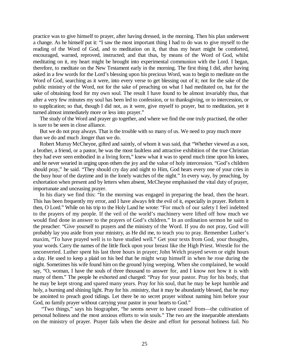practice was to give himself to prayer, after having dressed, in the morning. Then his plan underwent a change. As he himself put it: "I saw the most important thing I had to do was to give myself to the reading of the Word of God, and to meditation on it, that thus my heart might be comforted, encouraged, warned, reproved, instructed; and that thus, by means of the Word of God, whilst meditating on it, my heart might be brought into experimental communion with the Lord. I began, therefore, to meditate on the New Testament early in the morning. The first thing I did, after having asked in a few words for the Lord's blessing upon his precious Word, was to begin to meditate on the Word of God, searching as it were, into every verse to get blessing out of it; not for the sake of the public ministry of the Word, not for the sake of preaching on what I had meditated on, but for the sake of obtaining food for my own soul. The result I have found to be almost invariably thus, that after a very few minutes my soul has been led to confession, or to thanksgiving, or to intercession, or to supplication; so that, though I did not, as it were, give myself to prayer, but to meditation, yet it turned almost immediately more or less into prayer."

The study of the Word and prayer go together, and where we find the one truly practised, the other is sure to be seen in close alliance.

But we do not pray always. That is the trouble with so many of us. We need to pray much more than we do and much .longer than we do.

Robert Murray McCheyne, gifted and saintly, of whom it was said, that "Whether viewed as a son, a brother, a friend, or a pastor, he was the most faultless and attractive exhibition of the true Christian they had ever seen embodied in a living form," knew what it was to spend much time upon his knees, and he never wearied in urging upon others the joy and the value of holy intercession. "God's children should pray," he said. "They should cry day and night to Him, God hears every one of your cries in the busy hour of the daytime and in the lonely watches of the night." In every way, by preaching, by exhortation when present and by letters when absent, McCheyne emphasised the vital duty of prayer, importunate and unceasing prayer.

In his diary we find this: "In the morning was engaged in preparing the head, then the heart. This has been frequently my error, and I have always felt the evil of it, especially in prayer. Reform it then, O Lord." While on his trip to the Holy Land he wrote: "For much of our safety I feel indebted to the prayers of my people. If the veil of the world's machinery were lifted off how much we would find done in answer to the prayers of God's children." In an ordination sermon he said to the preacher: "Give yourself to prayers and the ministry of the Word. If you do not pray, God will probably lay you aside from your ministry, as He did me, to teach you to pray. Remember Luther's maxim, "To have prayed well is to have studied well." Get your texts from God, your thoughts, your words. Carry the names of the little flock upon your breast like the High Priest. Wrestle for the unconverted. Luther spent his last three hours in prayer; John Welch prayed seven or eight hours a day. He used to keep a plaid on his bed that he might wrap himself in when he rose during the night. Sometimes his wife found him on the ground lying weeping. When she complained, he would say, "O, woman, I have the souls of three thousand to answer for, and I know not how it is with many of them." The people he exhorted and charged: "Pray for your pastor. Pray for his body, that he may be kept strong and spared many years. Pray for his soul, that he may be kept humble and holy, a burning and shining light. Pray for his .ministry, that it may be abundantly blessed, that he may be anointed to preach good tidings. Let there be no secret prayer without naming him before your God, no family prayer without carrying your pastor in your hearts to God."

"Two things," says his biographer, "he seems never to have ceased from—the cultivation of personal holiness and the most anxious efforts to win souls." The two are the inseparable attendants on the ministry of prayer. Prayer fails when the desire and effort for personal holiness fail. No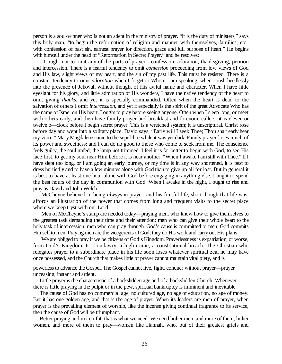person is a soul-winner who is not an adept in the ministry of prayer. "It is the duty of ministers," says this holy man, "to begin the reformation of religion and manner with themselves, families, etc., with confession of past sin, earnest prayer for direction, grace and full purpose of heart." He begins with himself under the head of "Reformation in Secret Prayer," and he resolves:

"I ought not to omit any of the parts of prayer—confession, adoration, thanksgiving, petition and intercession. There is a fearful tendency to omit *confession* proceeding from low views of God and His law, slight views of my heart, and the sin of my past life. This must be resisted. There is a constant tendency to omit *adoration* when I forget to Whom I am speaking, when I rush heedlessly into the presence of Jehovah without thought of His awful name and character. When I have little eyesight for his glory, and little admiration of His wonders, I have the native tendency of the heart to omit giving *thanks,* and yet it is specially commanded. Often when the heart is dead to the salvation of others I omit *intercession,* and yet it especially is the spirit of the great Advocate Who has the name of Israel on His heart. I ought to pray before seeing anyone. Often when I sleep long, or meet with others early, and then have family prayer and breakfast and forenoon callers, it is eleven or twelve o—clock before I begin secret prayer. This is a wretched system; it is unscriptural. Christ rose before day and went into a solitary place. David says, "Early will I seek Thee; Thou shalt early hear my voice." Mary Magdalene came to the sepulchre while it was yet dark. Family prayer loses much of its power and sweetness; and I can do no good to those who come to seek from me. The conscience feels guilty, the soul unfed, the lamp not trimmed. I feel it is far better to begin with God, to see His face first, to get my soul near Him before it is near another. "When I awake I am still with Thee." If I have slept too long, or I am going an early journey, or my time is in any way shortened, it is best to dress hurriedly and to have a few minutes alone with God than to give up all for lost. But in general it is best to have at least one hour alone with God before engaging in anything else. I ought to spend the best hours of the day in communion with God. When I awake in the night, I ought to rise and pray as David and John Welch."

McCheyne believed in being *always* in prayer, and his fruitful life, short though that life was, affords an illustration of the power that comes from long and frequent visits to the secret place where we keep tryst with our Lord.

Men of McCheyne's stamp are needed today—praying men, who know how to give themselves to the greatest task demanding their time and their attention; men who can give their whole heart to the holy task of intercession, men who can pray through. God's cause is committed to men; God commits Himself to men. Praying men are the vicegerents of God; they do His work and carry out His plans.

We are obliged to pray if we be citizens of God's Kingdom. Prayerlessness is expatriation, or worse, from God's Kingdom. It is outlawry, a high crime, a constitutional breach. The Christian who relegates prayer to a subordinate place in his life soon loses whatever spiritual zeal he may have once possessed, and the Church that makes little of prayer cannot maintain vital piety, and is

powerless to advance the Gospel. The Gospel cannot live, fight, conquer without prayer—prayer unceasing, instant and ardent.

Little prayer is the characteristic of a backslidden age and of a backslidden Church. Whenever there is little praying in the pulpit or in the pew, spiritual bankruptcy is imminent and inevitable.

The cause of God has no commercial age, no cultured age, no age of education, no age of money. But it has one golden age, and that is the age of prayer. When its leaders are men of prayer, when prayer is the prevailing element of worship, like the incense giving continual fragrance to its service, then the cause of God will be triumphant.

Better praying and more of it, that is what we need. We need holier men, and more of them, holier women, and more of them to pray—women like Hannah, who, out of their greatest griefs and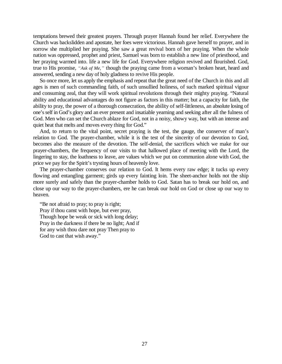temptations brewed their greatest prayers. Through prayer Hannah found her relief. Everywhere the Church was backslidden and apostate, her foes were victorious. Hannah gave herself to prayer, and in sorrow she multiplied her praying. She saw a great revival born of her praying. When the whole nation was oppressed, prophet and priest, Samuel was born to establish a new line of priesthood, and her praying warmed into. life a new life for God. Everywhere religion revived and flourished. God, true to His promise, "Ask of Me," though the praying came from a woman's broken heart, heard and answered, sending a new day of holy gladness to revive His people.

So once more, let us apply the emphasis and repeat that the great need of the Church in this and all ages is men of such commanding faith, of such unsullied holiness, of such marked spiritual vigour and consuming zeal, that they will work spiritual revolutions through their mighty praying. "Natural ability and educational advantages do not figure as factors in this matter; but a capacity for faith, the ability to pray, the power of a thorough consecration, the ability of self-littleness, an absolute losing of one's self in God's glory and an ever present and insatiable yearning and seeking after all the fulness of God. Men who can set the Church ablaze for God, not in a noisy, showy way, but with an intense and quiet heat that melts and moves every thing for God."

And, to return to the vital point, secret praying is the test, the gauge, the conserver of man's relation to God. The prayer-chamber, while it is the test of the sincerity of our devotion to God, becomes also the measure of the devotion. The self-denial, the sacrifices which we make for our prayer-chambers, the frequency of our visits to that hallowed place of meeting with the Lord, the lingering to stay, the loathness to leave, are values which we put on communion alone with God, the price we pay for the Spirit's trysting hours of heavenly love.

The prayer-chamber conserves our relation to God. It hems every raw edge; it tucks up every flowing and entangling garment; girds up every fainting loin. The sheet-anchor holds not the ship more surely and safely than the prayer-chamber holds to God. Satan has to break our hold on, and close up our way to the prayer-chambers, ere he can break our hold on God or close up our way to heaven.

"Be not afraid to pray; to pray is right; Pray if thou canst with hope, but ever pray, Though hope be weak or sick with long delay; Pray in the darkness if there be no light; And if for any wish thou dare not pray Then pray to God to cast that wish away."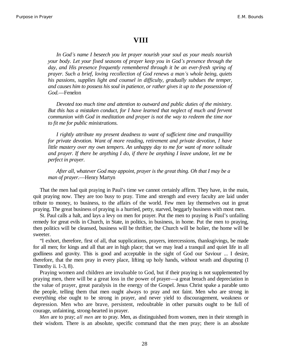#### **VIII**

*In God¶s name I beseech you let prayer nourish your soul as your meals nourish your body. Let your fixed seasons of prayer keep you in God's presence through the day, and His presence frequently remembered through it be an ever-fresh spring of prayer. Such a brief, loving recollection of God renews a man¶s whole being, quiets his passions, supplies light and counsel in difficulty, gradually subdues the temper, and causes him to possess his soul in patience, or rather gives it up to the possession of God.*—Fenelon

*Devoted too much time and attention to outward and public duties of the ministry. But this has a mistaken conduct, for I have learned that neglect of much and fervent communion with God in meditation and prayer is not the way to redeem the time nor to fit me for public ministrations.*

*I rightly attribute my present deadness to want of sufficient time and tranquillity for private devotion. Want of more reading, retirement and private devotion, I have little mastery over my own tempers. An unhappy day to me for want of more solitude and prayer. If there be anything I do, if there be anything I leave undone, let me be perfect in prayer.*

*After all, whatever God may appoint, prayer is the great thing. Oh that I may be a man of prayer*.—Henry Martyn

That the men had quit praying in Paul's time we cannot certainly affirm. They have, in the main, quit praying now. They are too busy to pray. Time and strength and every faculty are laid under tribute to money, to business, to the affairs of the world. Few men lay themselves out in great praying. The great business of praying is a hurried, petty, starved, beggarly business with most men.

St. Paul calls a halt, and lays a levy on men for prayer. Put the men to praying is Paul's unfailing remedy for great evils in Church, in State, in politics, in business, in home. Put the men to praying, then politics will be cleansed, business will be thriftier, the Church will be holier, the home will be sweeter.

"I exhort, therefore, first of all, that supplications, prayers, intercessions, thanksgivings, be made for all men; for kings and all that are in high place; that we may lead a tranquil and quiet life in all godliness and gravity. This is good and acceptable in the sight of God our Saviour ... I desire, therefore, that the men pray in every place, lifting up holy hands, without wrath and disputing (I Timothy ii. 1-3, 8).

Praying women and children are invaluable to God, but if their praying is not supplemented by praying men, there will be a great loss in the power of prayer—a great breach and depreciation in the value of prayer, great paralysis in the energy of the Gospel. Jesus Christ spake a parable unto the people, telling them that men ought always to pray and not faint. Men who are strong in everything else ought to be strong in prayer, and never yield to discouragement, weakness or depression. Men who are brave, persistent, redoubtable in other pursuits ought to be full of courage, unfainting, strong-hearted in prayer.

*Men* are to pray; *all men* are to pray. Men, as distinguished from women, men in their strength in their wisdom. There is an absolute, specific command that the men pray; there is an absolute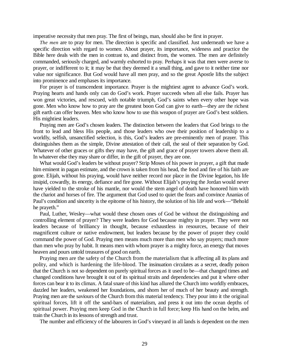imperative necessity that men pray. The first of beings, man, should also be first in prayer.

*The men* are to pray for men. The direction is specific and classified. Just underneath we have a specific direction with regard to women. About prayer, its importance, wideness and practice the Bible here deals with the men in contrast to, and distinct from, the women. The men are definitely commanded, seriously charged, and warmly exhorted to pray. Perhaps it was that men were averse to prayer, or indifferent to it; it may be that they deemed it a small thing, and gave to it neither time nor value nor significance. But God would have all men pray, and so the great Apostle lifts the subject into prominence and emphases its importance.

For prayer is of transcendent importance. Prayer is the mightiest agent to advance God's work. Praying hearts and hands only can do God's work. Prayer succeeds when all else fails. Prayer has won great victories, and rescued, with notable triumph, God's saints when every other hope was gone. Men who know how to pray are the greatest boon God can give to earth—they are the richest gift earth can offer heaven. Men who know how to use this weapon of prayer are God's best soldiers. His mightiest leaders.

Praying men are God's chosen leaders. The distinction between the leaders that God brings to the front to lead and bless His people, and those leaders who owe their position of leadership to a worldly, selfish, unsanctified selection, is this, God's leaders are pre-eminently men of prayer. This distinguishes them as the simple, Divine attestation of their call, the seal of their separation by God. Whatever of other graces or gifts they may have, the gift and grace of prayer towers above them all. In whatever else they may share or differ, in the gift of prayer, they are one.

What would God's leaders be without prayer? Strip Moses of his power in prayer, a gift that made him eminent in pagan estimate, and the crown is taken from his head, the food and fire of his faith are gone. Elijah, without his praying, would have neither record nor place in the Divine legation, his life insipid, cowardly, its energy, defiance and fire gone. Without Elijah's praying the Jordan would never have yielded to the stroke of his mantle, nor would the stem angel of death have honored him with the chariot and horses of fire. The argument that God used to quiet the fears and convince Ananias of Paul's condition and sincerity is the epitome of his history, the solution of his life and work—"Behold he prayeth."

Paul, Luther, Wesley—what would these chosen ones of God be without the distinguishing and controlling element of prayer? They were leaders for God because mighty in prayer. They were not leaders because of brilliancy in thought, because exhaustless in resources, because of their magnificent culture or native endowment, but leaders because by the power of prayer they could command the power of God. Praying men means much more than men who say prayers; much more than men who pray by habit. It means men with whom prayer is a mighty force, an energy that moves heaven and pours untold treasures of good on earth.

Praying men are the safety of the Church from the materialism that is affecting all its plans and polity, and which is hardening the life-blood. The insinuation circulates as a secret, deadly poison that the Church is not so dependent on purely spiritual forces as it used to be—that changed times and changed conditions have brought it out of its spiritual straits and dependencies and put it where other forces can bear it to its climax. A fatal snare of this kind has allured the Church into worldly embraces, dazzled her leaders, weakened her foundations, and shorn her of much of her beauty and strength. Praying men are the saviours of the Church from this material tendency. They pour into it the original spiritual forces, lift it off the sand-bars of materialism, and press it out into the ocean depths of spiritual power. Praying men keep God in the Church in full force; keep His hand on the helm, and train the Church in its lessons of strength and trust.

The number and efficiency of the labourers in God's vineyard in all lands is dependent on the men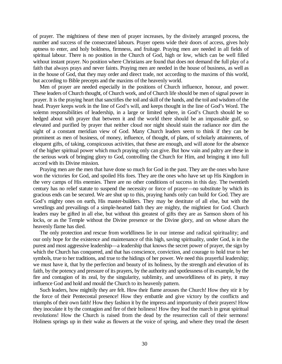of prayer. The mightiness of these men of prayer increases, by the divinely arranged process, the number and success of the consecrated labours. Prayer opens wide their doors of access, gives holy aptness to enter, and holy boldness, firmness, and fruitage. Praying men are needed in all fields of spiritual labour. There is no position in the Church of God, high or low, which can be well filled without instant prayer. No position where Christians are found that does not demand the full play of a faith that always prays and never faints. Praying men are needed in the house of business, as well as in the house of God, that they may order and direct trade, not according to the maxims of this world, but according to Bible precepts and the maxims of the heavenly world.

Men of prayer are needed especially in the positions of Church influence, honour, and power. These leaders of Church thought, of Church work, and of Church life should be men of signal power in prayer. It is the praying heart that sanctifies the toil and skill of the hands, and the toil and wisdom of the head. Prayer keeps work in the line of God's will, and keeps thought in the line of God's Word. The solemn responsibilities of leadership, in a large or limited sphere, in God's Church should be so hedged about with prayer that between it and the world there should be an impassable gulf, so elevated and purified by prayer that neither cloud nor night should stain the radiance nor dim the sight of a constant meridian view of God. Many Church leaders seem to think if they can be prominent as men of business, of money, influence, of thought, of plans, of scholarly attainments, of eloquent gifts, of taking, conspicuous activities, that these are enough, and will atone for the absence of the higher spiritual power which much praying only can give. But how vain and paltry are these in the serious work of bringing glory to God, controlling the Church for Him, and bringing it into full accord with its Divine mission.

Praying men are the men that have done so much for God in the past. They are the ones who have won the victories for God, and spoiled His foes. They are the ones who have set up His Kingdom in the very camps of His enemies. There are no other conditions of success in this day. The twentieth century has no relief statute to suspend the necessity or force of prayer—no substitute by which its gracious ends can be secured. We are shut up to this, praying hands only can build for God. They are God's mighty ones on earth, His master-builders. They may be destitute of all else, but with the wrestlings and prevailings of a simple-hearted faith they are mighty, the mightiest for God. Church leaders may be gifted in all else, but without this greatest of gifts they are as Samson shorn of his locks, or as the Temple without the Divine presence or the Divine glory, and on whose altars the heavenly flame has died.

The only protection and rescue from worldliness lie in our intense and radical spirituality; and our only hope for the existence and maintenance of this high, saving spirituality, under God, is in the purest and most aggressive leadership—a leadership that knows the secret power of prayer, the sign by which the Church has conquered, and that has conscience, conviction, and courage to hold true to her symbols, true to her traditions, and true to the hidings of her power. We need this prayerful leadership; we must have it, that by the perfection and beauty of its holiness, by the strength and elevation of its faith, by the potency and pressure of its prayers, by the authority and spotlessness of its example, by the fire and contagion of its zeal, by the singularity, sublimity, and unworldliness of its piety, it may influence God and hold and mould the Church to its heavenly pattern.

Such leaders, how mightily they are felt. How their flame arouses the Church! How they stir it by the force of their Pentecostal presence! How they embattle and give victory by the conflicts and triumphs of their own faith! How they fashion it by the impress and importunity of their prayers! How they inoculate it by the contagion and fire of their holiness! How they lead the march in great spiritual revolutions! How the Church is raised from the dead by the resurrection call of their sermons! Holiness springs up in their wake as flowers at the voice of spring, and where they tread the desert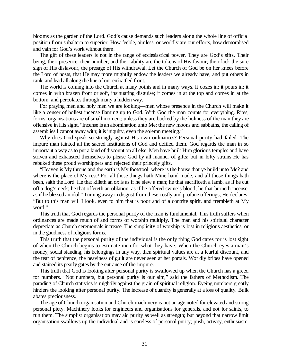blooms as the garden of the Lord. God's cause demands such leaders along the whole line of official position from subaltern to superior. How feeble, aimless, or worldly are our efforts, how demoralised and vain for God's work without them!

The gift of these leaders is not in the range of ecclesiastical power. They are God's sifts. Their being, their presence, their number, and their ability are the tokens of His favour; their lack the sure sign of His disfavour, the presage of His withdrawal. Let the Church of God be on her knees before the Lord of hosts, that He may more mightily endow the leaders we already have, and put others in rank, and lead all along the line of our embattled front.

The world is coming into the Church at many points and in many ways. It oozes in; it pours in; it comes in with brazen front or soft, insinuating disguise; it comes in at the top and comes in at the bottom; and percolates through many a hidden way.

For praying men and holy men we are looking—men whose presence in the Church will make it like a censer of holiest incense flaming up to God. With God the man counts for everything. Rites, forms, organisations are of small moment; unless they are backed by the holiness of the man they are offensive in His sight. "Incense is an abomination unto Me; the new moons and sabbaths, the calling of assemblies I cannot away with; it is iniquity, even the solemn meeting."

Why does God speak so strongly against His own ordinances? Personal purity had failed. The impure man tainted all the sacred institutions of God and defiled them. God regards the man in so important a way as to put a kind of discount on all else. Men have built Him glorious temples and have striven and exhausted themselves to please God by all manner of gifts; but in lofty strains He has rebuked these proud worshippers and rejected their princely gifts.

"Heaven is My throne and the earth is My footstool: where is the house that ye build unto Me? and where is the place of My rest? For all those things hath Mine hand made, and all those things hath been, saith the Lord. He that killeth an ox is as if he slew a man; he that sacrificeth a lamb, as if he cut off a dog's neck; he that offereth an oblation, as if he offered swine's blood; he that burneth incense, as if he blessed an idol." Turning away in disgust from these costly and profane offerings, He declares: "But to this man will I look, even to him that is poor and of a contrite spirit, and trembleth at My word."

This truth that God regards the personal purity of the man is fundamental. This truth suffers when ordinances are made much of and forms of worship multiply. The man and his spiritual character depreciate as Church ceremonials increase. The simplicity of worship is lost in religious aesthetics, or in the gaudiness of religious forms.

This truth that the personal purity of the individual is the only thing God cares for is lost sight of when the Church begins to estimate men for what they have. When the Church eyes a man's money, social standing, his belongings in any way, then spiritual values are at a fearful discount, and the tear of penitence, the heaviness of guilt are never seen at her portals. Worldly bribes have opened and stained its pearly gates by the entrance of the impure.

This truth that God is looking after personal purity is swallowed up when the Church has a greed for numbers. "Not numbers, but personal purity is our aim," said the fathers of Methodism. The parading of Church statistics is mightily against the grain of spiritual religion. Eyeing numbers greatly hinders the looking after personal purity. The increase of quantity is generally at a loss of quality. Bulk abates preciousness.

The age of Church organisation and Church machinery is not an age noted for elevated and strong personal piety. Machinery looks for engineers and organisations for generals, and not for saints, to run them. The simplist organisation may aid purity as well as strength; but beyond that narrow limit organisation swallows up the individual and is careless of personal purity; push, activity, enthusiasm,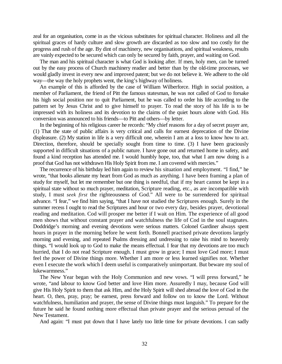zeal for an organisation, come in as the vicious substitutes for spiritual character. Holiness and all the spiritual graces of hardy culture and slow growth are discarded as too slow and too costly for the progress and rush of the age. By dint of machinery, new organisations, and spiritual weakness, results are vainly expected to be secured which can only be secured by faith, prayer, and waiting on God.

The man and his spiritual character is what God is looking after. If men, holy men, can be turned out by the easy process of Church machinery readier and better than by the old-time processes, we would gladly invest in every new and improved patent; but we do not believe it. We adhere to the old way—the way the holy prophets went, the king's highway of holiness.

An example of this is afforded by the case of William Wilberforce. High in social position, a member of Parliament, the friend of Pitt the famous statesman, he was not called of God to forsake his high social position nor to quit Parliament, but he was called to order his life according to the pattern set by Jesus Christ and to give himself to prayer. To read the story of his life is to be impressed with its holiness and its devotion to the claims of the quiet hours alone with God. His conversion was announced to his friends—to Pitt and others—by letter.

In the beginning of his religious career he records: "My chief reasons for a day of secret prayer are, (1) That the state of public affairs is very critical and calls for earnest deprecation of the Divine displeasure. (2) My station in life is a very difficult one, wherein I am at a loss to know how to act. Direction, therefore, should be specially sought from time to time. (3) I have been graciously supported in difficult situations of a public nature. I have gone out and returned home in safety, and found a kind reception has attended me. I would humbly hope, too, that what I am now doing is a proof that God has not withdrawn His Holy Spirit from me. I am covered with mercies."

The recurrence of his birthday led him again to review his situation and employment. "I find," he wrote, "that books alienate my heart from God as much as anything. I have been framing a plan of study for myself, but let me remember but one thing is needful, that if my heart cannot be kept in a spiritual state without so much prayer, meditation, Scripture reading, etc., as are incompatible with study, I must *seek first* the righteousness of God." All were to be surrendered for spiritual advance. "I fear," we find him saying, "that I have not studied the Scriptures enough. Surely in the summer recess I ought to read the Scriptures and hour or two every day, besides prayer, devotional reading and meditation. Cod will prosper me better if I wait on Him. The experience of all good men shows that without constant prayer and watchfulness the life of Cod in the soul stagnates. Doddridge's morning and evening devotions were serious matters. Colonel Gardiner always spent hours in prayer in the morning before he went forth. Bonnell practised private devotions largely morning and evening, and repeated Psalms dressing and undressing to raise his mind to heavenly things. "I would look up to God to make the means effectual. I fear that my devotions are too much hurried, that I do not read Scripture enough. I must grow in grace; I must love God more; I must feel the power of Divine things more. Whether I am more or less learned signifies not. Whether even I execute the work which I deem useful is comparatively unimportant. But beware my soul of lukewarmness."

The New Year began with the Holy Communion and new vows. "I will press forward," he wrote, "and labour to know God better and love Him more. Assuredly I may, because God will give His Holy Spirit to them that ask Him, and the Holy Spirit will shed abroad the love of God in the heart. O, then, pray, pray; be earnest, press forward and follow on to know the Lord. Without watchfulness, humiliation and prayer, the sense of Divine things must languish." To prepare for the future he said he found nothing more effectual than private prayer and the serious perusal of the New Testament.

And again: "I must put down that I have lately too little time for private devotions. I can sadly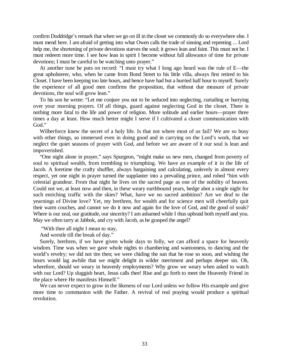confirm Doddridge's remark that when we go on ill in the closet we commonly do so everywhere else. I must mend here. I am afraid of getting into what Owen calls the trade of sinning and repenting ... Lord help me, the shortening of private devotions starves the soul; it grows lean and faint. This must not be. I must redeem more time. I see how lean in spirit I become without full allowance of time for private devotions; I must be careful to be watching unto prayer."

At another tune he puts on record: "I must try what I long ago heard was the rule of E—the great upholsterer, who, when he came from Bond Street to his little villa, always first retired to his Closet. I have been keeping too late hours, and hence have had but a hurried half hour to myself. Surely the experience of all good men confirms the proposition, that without due measure of private devotions, the soul will grow lean."

To his son he wrote: "Let me conjure you not to be seduced into neglecting, curtailing or hurrying over your morning prayers. Of all things, guard against neglecting God in the closet. There is nothing more fatal to the life and power of religion. More solitude and earlier hours—prayer three times a day at least. How much better might I serve if I cultivated a closer communication with God."

Wilberforce knew the secret of a holy life. Is that not where most of us fail? We are so busy with other things, so immersed even in doing good and in carrying on the Lord's work, that we neglect the quiet seasons of prayer with God, and before we are aware of it our soul is lean and impoverished.

"One night alone in prayer," says Spurgeon, "might make us new men, changed from poverty of soul to spiritual wealth, from trembling to triumphing. We have an example of it in the life of Jacob. A foretime the crafty shuffler, always bargaining and calculating, unlovely in almost every respect, yet one night in prayer turned the supplanter into a prevailing prince, and robed "him with celestial grandeur. From that night he lives on the sacred page as one of the nobility of heaven. Could not we, at least now and then, in these weary earthbound years, hedge abot a single night for such enriching traffic with the skies? What, have we no sacred ambition? Are we deaf to the yearnings of Divine love? Yet, my brethren, for wealth and for science men will cheerfully quit their warm couches, and cannot we do it now and again for the love of God, and the good of souls? Where is our zeal, our gratitude, our sincerity? I am ashamed while I thus upbraid both myself and you. May we often tarry at Jabbok, and cry with Jacob, as he grasped the angel?

"With thee all night I mean to stay,

And wrestle till the break of day."

Surely, brethren, if we have given whole days to folly, we can afford a space for heavenly wisdom. Time was when we gave whole nights to chambering and wantonness, to dancing and the world's revelry; we did not tire then; we were chiding the sun that he rose so soon, and wishing the hours would lag awhile that we might delight in wilder merriment and perhaps deeper sin. Oh, wherefore, should we weary in heavenly employments? Why grow we weary when asked to watch with our Lord? Up sluggish heart, Jesus calls thee! Rise and go forth to meet the Heavenly Friend in the place where He manifests Himself."

We can never expect to grow in the likeness of our Lord unless we follow His example and give more time to communion with the Father. A revival of real praying would produce a spiritual revolution.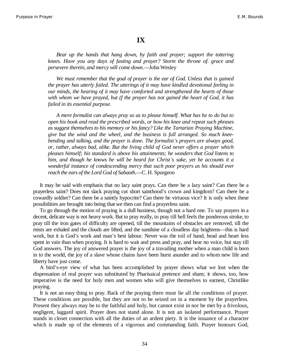#### **IX**

*Bear up the hands that hang down, by faith and prayer; support the tottering knees. Have you any days of fasting and prayer? Storm the throne of. grace and persevere therein, and mercy will come down*.—John Wesley

*We must remember that the goal of prayer is the ear of God. Unless that is gained the prayer has utterly failed. The utterings of it may have kindled devotional feeling in our minds, the hearing of it may have comforted and strengthened the hearts of those with whom we have prayed, but (f the prayer has not gained the heart of God, it has failed in its essential purpose.*

*A mere formalist can always pray so as to please himself. What has he to do but to open his book and read the prescribed words, or bow his knee and repeat such phrases as suggest themselves to his memory or his fancy? Like the Tartarian Praying Machine, give but the wind and the wheel, and the business is full arranged. So much kneebending and talking, and the prayer is done. The formalist¶s prayers are always good, or, rather, always bad, alike. But the living child of God never offers a prayer which pleases himself; his standard is above his attainments; he wonders that God listens to him, and though he knows he will be heard for Christ¶s sake, yet he accounts it a wonderful instance of condescending mercy that such poor prayers as his should ever reach the ears of the Lord God of Sabaoth*.—C. H. Spurgeon

It may be said with emphasis that no lazy saint prays. Can there be a lazy saint? Can there be a prayerless saint? Does not slack praying cut short sainthood's crown and kingdom? Can there be a cowardly soldier? Can there be a saintly hypocrite? Can there be virtuous vice? It is only when these possibilities are brought into being that we then can find a prayerless saint.

To go through the motion of praying is a dull business, though not a hard one. To say prayers in a decent, delicate way is not heavy work. But to pray really, to pray till hell feels the ponderous stroke, to pray till the iron gates of difficulty are opened, till the mountains of obstacles are removed, till the mists are exhaled and the clouds are lifted, and the sunshine of a cloudless day brightens—this is hard work, but it is God's work and man's best labour. Never was the toil of hand, head and heart less spent in vain than when praying. It is hard to wait and press and pray, and hear no voice, but stay till God answers. The joy of answered prayer is the joy of a travailing mother when a man child is born in to the world, the joy of a slave whose chains have been burst asunder and to whom new life and liberty have just come.

A bird's-eye view of what has been accomplished by prayer shows what we lost when the dispensation of real prayer was substituted by Pharisaical pretence and sham; it shows, too, how imperative is the need for holy men and women who will give themselves to earnest, Christlike praying.

It is not an easy thing to pray. Back of the praying there must lie all the conditions of prayer. These conditions are possible, but they are not to be seized on in a moment by the prayerless. Present they always may be to the faithful and holy, but cannot exist in nor be met by a frivolous, negligent, laggard spirit. Prayer does not stand alone. It is not an isolated performance. Prayer stands in closet connection with all the duties of an ardent piety. It is the issuance of a character which is made up of the elements of a vigorous and commanding faith. Prayer honours God,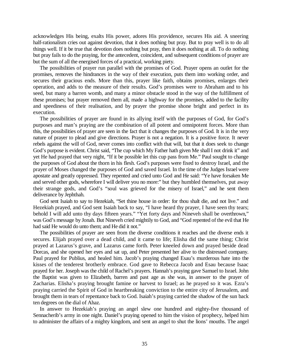acknowledges His being, exalts His power, adores His providence, secures His aid. A sneering half-rationalism cries out against devotion, that it does nothing but pray. But to pray well is to do all things well. If it be true that devotion does nothing but pray, then it does nothing at all. To do nothing but pray fails to do the praying, for the antecedent, coincident, and subsequent conditions of prayer are but the sum of all the energised forces of a practical, working piety.

The possibilities of prayer run parallel with the promises of God. Prayer opens an outlet for the promises, removes the hindrances in the way of their execution, puts them into working order, and secures their gracious ends. More than this, prayer like faith, obtains promises, enlarges their operation, and adds to the measure of their results. God's promises were to Abraham and to his seed, but many a barren womb, and many a minor obstacle stood in the way of the fulfillment of these promises; but prayer removed them all, made a highway for the promises, added to the facility and speediness of their realisation, and by prayer the promise shone bright and perfect in its execution.

The possibilities of prayer are found in its allying itself with the purposes of God, for God's purposes and man's praying are the combination of all potent and omnipotent forces. More than this, the possibilities of prayer are seen in the fact that it changes the purposes of God. It is in the very nature of prayer to plead and give directions. Prayer is not a negation. It is a positive force. It never rebels against the will of God, never comes into conflict with that will, but that it does seek to change God's purpose is evident. Christ said, "The cup which My Father hath given Me shall I not drink it" and yet He had prayed that very night, "If it be possible let this cup pass from Me." Paul sought to change the purposes of God about the thorn in his flesh. God's purposes were fixed to destroy Israel, and the prayer of Moses changed the purposes of God and saved Israel. In the time of the Judges Israel were apostate and greatly oppressed. They repented and cried unto God and He said: "Ye have forsaken Me and served other gods, wherefore I will deliver you no more:" but they humbled themselves, put away their strange gods, and God's "soul was grieved for the misery of Israel," and he sent them deliverance by Jephthah.

God sent Isaiah to say to Hezekiah, "Set thine house in order: for thou shalt die, and not live." and Hezekiah prayed, and God sent Isaiah back to say, "I have heard thy prayer, I have seen thy tears; behold I will add unto thy days fifteen years." "Yet forty days and Nineveh shall be overthrown," was God's message by Jonah. But Nineveh cried mightily to God, and "God repented of the evil that He had said He would do unto them; and He did it not."

The possibilities of prayer are seen from the diverse conditions it reaches and the diverse ends it secures. Elijah prayed over a dead child, and it came to life; Elisha did the same thing; Christ prayed at Lazarus's grave, and Lazarus came forth. Peter kneeled down and prayed beside dead Dorcas, and she opened her eyes and sat up, and Peter presented her alive to the distressed company. Paul prayed for Publius, and healed him. Jacob's praying changed Esau's murderous hate into the kisses of the tenderest brotherly embrace. God gave to Rebecca Jacob and Esau because Isaac prayed for her. Joseph was the child of Rachel's prayers. Hannah's praying gave Samuel to Israel. John the Baptist was given to Elizabeth, barren and past age as she was, in answer to the prayer of Zacharias. Elisha's praying brought famine or harvest to Israel; as he prayed so it was. Ezra's praying carried the Spirit of God in heartbreaking conviction to the entire city of Jerusalem, and brought them in tears of repentance back to God. Isaiah's praying carried the shadow of the sun back ten degrees on the dial of Ahaz.

In answer to Hezekiah's praying an angel slew one hundred and eighty-five thousand of Sennacherib's army in one night. Daniel's praying opened to him the vision of prophecy, helped him to administer the affairs of a mighty kingdom, and sent an angel to shut the lions' mouths. The angel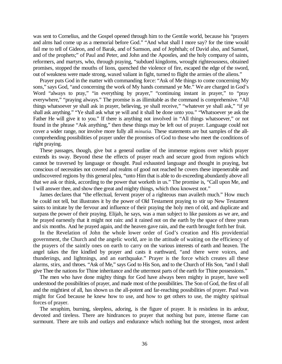was sent to Cornelius, and the Gospel opened through him to the Gentile world, because his "prayers and alms had come up as a memorial before God." "And what shall I more say? for the time would fail me to tell of Gideon, and of Barak, and of Samson, and of Jephthah; of David also, and Samuel, and of the prophets;" of Paul and Peter, and John and the Apostles, and the holy company of saints, reformers, and martyrs, who, through praying, "subdued kingdoms, wrought righteousness, obtained promises, stopped the mouths of lions, quenched the violence of fire, escaped the edge of the sword, out of weakness were made strong, waxed valiant in fight, turned to flight the armies of the aliens."

Prayer puts God in the matter with commanding force: "Ask of Me things to come concerning My sons," says God, "and concerning the work of My hands command ye Me." We are charged in God's Word "always to pray," "in everything by prayer," "continuing instant in prayer," to "pray everywhere," "praying always." The promise is as illimitable as the command is comprehensive. "All things whatsoever ye shall ask in prayer, believing, ye shall receive," "whatever ye shall ask," "if ye shall ask anything." "Ye shall ask what ye will and it shall be done unto you." "Whatsoever ye ask the Father He will give it to you." If there is anything not involved in "All things whatsoever," or not found in the phrase "Ask anything," then these things may be left out of prayer. Language could not cover a wider range, nor involve more fully all *minutia.* These statements are but samples of the allcomprehending possibilities of prayer under the promises of God to those who meet the conditions of right praying.

These passages, though, give but a general outline of the immense regions over which prayer extends its sway. Beyond these the effects of prayer reach and secure good from regions which cannot be traversed by language or thought. Paul exhausted language and thought in praying, but conscious of necessities not covered and realms of good not reached he covers these impenetrable and undiscovered regions by this general plea, "unto Him that is able to do exceeding abundantly above all that we ask or think, according to the power that worketh in us." The promise is, "Call upon Me, and I will answer thee, and show thee great and mighty things, which thou knowest not."

James declares that "the effectual, fervent prayer of a righteous man availeth much." How much he could not tell, but illustrates it by the power of Old Testament praying to stir up New Testament saints to imitate by the fervour and influence of their praying the holy men of old, and duplicate and surpass the power of their praying. Elijah, he says, was a man subject to like passions as we are, and he prayed earnestly that it might not rain: and it rained not on the earth by the space of three years and six months. And he prayed again, and the heaven gave rain, and the earth brought forth her fruit.

In the Revelation of John the whole lower order of God's creation and His providential government, the Church and the angelic world, are in the attitude of waiting on the efficiency of the prayers of the saintly ones on earth to carry on the various interests of earth and heaven. The angel takes the fire kindled by prayer and casts it earthward, "and there were voices, and thunderings, and lightnings, and an earthquake." Prayer is the force which creates all these alarms, stirs, and throes. "Ask of Me," says God to His Son, and to the Church of His Son, "and I shall give Thee the nations for Thine inheritance and the uttermost parts of the earth for Thine possessions."

The men who have done mighty things for God have always been mighty in prayer, have well understood the possibilities of prayer, and made most of the possibilities. The Son of God, the first of all and the mightiest of all, has shown us the all-potent and far-reaching possibilities of prayer. Paul was might for God because he knew how to use, and how to get others to use, the mighty spiritual forces of prayer.

The seraphim, burning, sleepless, adoring, is the figure of prayer. It is resistless in its ardour, devoted and tireless. There are hindrances to prayer that nothing but pure, intense flame can surmount. There are toils and outlays and endurance which nothing but the strongest, most ardent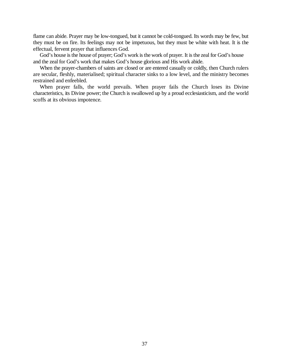flame can abide. Prayer may be low-tongued, but it cannot be cold-tongued. Its words may be few, but they must be on fire. Its feelings may not be impetuous, but they must be white with heat. It is the effectual, fervent prayer that influences God.

God's house is the house of prayer; God's work is the work of prayer. It is the zeal for God's house and the zeal for God's work that makes God's house glorious and His work abide.

When the prayer-chambers of saints are closed or are entered casually or coldly, then Church rulers are secular, fleshly, materialised; spiritual character sinks to a low level, and the ministry becomes restrained and enfeebled.

When prayer falls, the world prevails. When prayer fails the Church loses its Divine characteristics, its Divine power; the Church is swallowed up by a proud ecclesiasticism, and the world scoffs at its obvious impotence.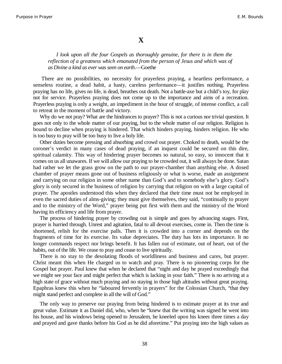## **X**

#### *I look upon all the four Gospels as thoroughly genuine, for there is in them the reflection of a greatness which emanated from the person of Jesus and which was of as Divine a kind as ever was seen on earth*.—Goethe

There are no possibilities, no necessity for prayerless praying, a heartless performance, a senseless routine, a dead habit, a hasty, careless performance—it justifies nothing. Prayerless praying has no life, gives no life, is dead, breathes out death. Not a battle-axe but a child's toy, for play not for service. Prayerless praying does not come up to the importance and aims of a recreation. Prayerless praying is only a weight, an impediment in the hour of struggle, of intense conflict, a call to retreat in the moment of battle and victory.

Why do we not pray? What are the hindrances to prayer? This is not a curious nor trivial question. It goes not only to the whole matter of our praying, but to the whole matter of our religion. Religion is bound to decline when praying is hindered. That which hinders praying, hinders religion. He who is too busy to pray will be too busy to live a holy life.

Other duties become pressing and absorbing and crowd out prayer. Choked to death, would be the coroner's verdict in many cases of dead praying, if an inquest could be secured on this dire, spiritual calamity. This way of hindering prayer becomes so natural, so easy, so innocent that it comes on us all unawares. If we will allow our praying to be crowded out, it will always be done. Satan had rather we let the grass grow on the path to our prayer-chamber than anything else. A dosed chamber of prayer means gone out of business religiously or what is worse, made an assignment and carrying on our religion in some other name than God's and to somebody else's glory. God's glory is only secured in the business of religion by carrying that religion on with a large capital of prayer. The apostles understood this when they declared that their time must not be employed in even the sacred duties of alms-giving; they must give themselves, they said, "continually to prayer and to the ministry of the Word," prayer being put first with them and the ministry of the Word having its efficiency and life from prayer.

The process of hindering prayer by crowding out is simple and goes by advancing stages. First, prayer is hurried through. Unrest and agitation, fatal to all devout exercises, come in. Then the time is shortened, relish for the exercise palls. Then it is crowded into a corner and depends on the fragments of time for its exercise. Its value depreciates. The duty has lots its importance. It no longer commands respect nor brings benefit. It has fallen out of estimate, out of heart, out of the habits, out of the life. We cease to pray and cease to live spiritually.

There is no stay to the desolating floods of worldliness and business and cares, but prayer. Christ meant this when He charged us to watch and pray. There is no pioneering corps for the Gospel but prayer. Paul knew that when he declared that "night and day he prayed exceedingly that we might see your face and might perfect that which is lacking in your faith." There is no arriving at a high state of grace without much praying and no staying in those high altitudes without great praying. Epaphras knew this when he "laboured fervently in prayers" for the Colossian Church, "that they might stand perfect and complete in all the will of God."

The only way to preserve our praying from being hindered is to estimate prayer at its true and great value. Estimate it as Daniel did, who, when he "knew that the writing was signed he went into his house, and his windows being opened to Jerusalem, he kneeled upon his knees three times a day and prayed and gave thanks before his God as he did aforetime." Put praying into the high values as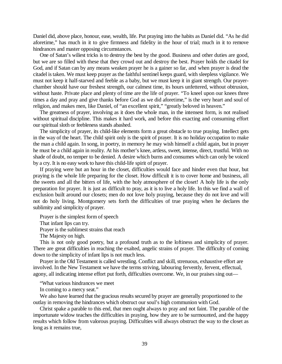Daniel did, above place, honour, ease, wealth, life. Put praying into the habits as Daniel did. "As he did aforetime," has much in it to give firmness and fidelity in the hour of trial; much in it to remove hindrances and master opposing circumstances.

One of Satan's wiliest tricks is to destroy the best by the good. Business and other duties are good, but we are so filled with these that they crowd out and destroy the best. Prayer holds the citadel for God, and if Satan can by any means weaken prayer he is a gainer so far, and when prayer is dead the citadel is taken. We must keep prayer as the faithful sentinel keeps guard, with sleepless vigilance. We must not keep it half-starved and feeble as a baby, but we must keep it in giant strength. Our prayerchamber should have our freshest strength, our calmest time, its hours unfettered, without obtrusion, without haste. Private place and plenty of time are the life of prayer. "To kneel upon our knees three times a day and pray and give thanks before God as we did aforetime," is the very heart and soul of religion, and makes men, like Daniel, of "an excellent spirit," "greatly beloved in heaven."

The greatness of prayer, involving as it does the whole man, in the intensest form, is not realised without spiritual discipline. This makes it hard work, and before this exacting and consuming effort our spiritual sloth or feebleness stands abashed.

The simplicity of prayer, its child-like elements form a great obstacle to true praying. Intellect gets in the way of the heart. The child spirit only is the spirit of prayer. It is no holiday occupation to make the man a child again. In song, in poetry, in memory he may wish himself a child again, but in prayer he must be a child again in reality. At his mother's knee, artless, sweet, intense, direct, trustful. With no shade of doubt, no temper to be denied. A desire which burns and consumes which can only be voiced by a cry. It is no easy work to have this child-life spirit of prayer.

If praying were but an hour in the closet, difficulties would face and hinder even that hour, but praying is the whole life preparing for the closet. How difficult it is to cover home and business, all the sweets and all the bitters of life, with the holy atmosphere of the closet! A holy life is the only preparation for prayer. It is just as difficult to pray, as it is to live a holy life. In this we find a wall of exclusion built around our closets; men do not love holy praying, because they do not love and will not do holy living. Montgomery sets forth the difficulties of true praying when he declares the sublimity and simplicity of prayer.

Prayer is the simplest form of speech

That infant lips can try.

Prayer is the sublimest strains that reach

The Majesty on high.

This is not only good poetry, but a profound truth as to the loftiness and simplicity of prayer. There are great difficulties in reaching the exalted, angelic strains of prayer. The difficulty of coming down to the simplicity of infant lips is not much less.

Prayer in the Old Testament is called wrestling. Conflict and skill, strenuous, exhaustive effort are involved. In the New Testament we have the terms striving, labouring fervently, fervent, effectual, agony, all indicating intense effort put forth, difficulties overcome. We, in our praises sing out—

"What various hindrances we meet

In coming to a mercy seat."

We also have learned that the gracious results secured by prayer are generally proportioned to the outlay in removing the hindrances which obstruct our soul's high communion with God.

Christ spake a parable to this end, that men ought always to pray and not faint. The parable of the importunate widow teaches the difficulties in praying, how they are to be surmounted, and the happy results which follow from valorous praying. Difficulties will always obstruct the way to the closet as long as it remains true,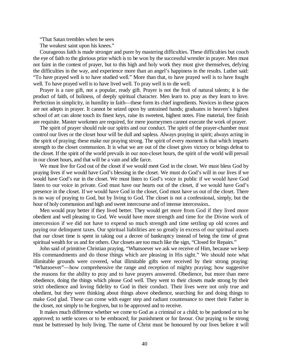"That Satan trembles when he sees

The weakest saint upon his knees."

Courageous faith is made stronger and purer by mastering difficulties. These difficulties but couch the eye of faith to the glorious prize which is to be won by the successful wrestler in prayer. Men must not faint in the contest of prayer, but to this high and holy work they must give themselves, defying the difficulties in the way, and experience more than an angel's happiness in the results. Luther said: "To have prayed well is to have studied well." More than that, to have prayed well is to have fought well. To have prayed well is to have lived well. To pray well is to die well.

Prayer is a rare gift, not a popular, ready gift. Prayer is not the fruit of natural talents; it is the product of faith, of holiness, of deeply spiritual character. Men learn to. pray as they learn to love. Perfection in simplicity, in humility in faith—these form its chief ingredients. Novices in these graces are not adepts in prayer. It cannot be seized upon by untrained hands; graduates in heaven's highest school of art can alone touch its finest keys, raise its sweetest, highest notes. Fine material, free finish are requisite. Master workmen are required, for mere journeymen cannot execute the work of prayer.

The spirit of prayer should rule our spirits and our conduct. The spirit of the prayer-chamber must control our lives or the closet hour will be dull and sapless. Always praying in spirit; always acting in the spirit of praying; these make our praying strong. The spirit of every moment is that which imparts strength to the closet communion. It is what we are out of the closet gives victory or brings defeat to the closet. If the spirit of the world prevails in our non-closet hours, the spirit of the world will prevail in our closet hours, and that will be a vain and idle farce.

We must live for God out of the closet if we would meet God in the closet. We must bless God by praying lives if we would have God's blessing in the closet. We must do God's will in our lives if we would have God's ear in the closet. We must listen to God's voice in public if we would have God listen to our voice in private. God must have our hearts out of the closet, if we would have God's presence in the closet. If we would have God in the closet, God must have us out of the closet. There is no way of praying to God, but by living to God. The closet is not a confessional, simply, but the hour of holy communion and high and sweet intercourse and of intense intercession..

Men would pray better if they lived better. They would get more from God if they lived more obedient and well pleasing to God. We would have more strength and time for the Divine work of intercession if we did not have to expend so much strength and time settling up old scores and paying our delinquent taxes. Our spiritual liabilities are so greatly in excess of our spiritual assets that our closet time is spent in taking out a decree of bankruptcy instead of being the time of great spiritual wealth for us and for others. Our closets are too much like the sign, "Closed for Repairs."

John said of primitive Christian praying, "Whatsoever we ask we receive of Him, because we keep His commandments and do those things which are pleasing in His sight." We should note what illimitable grounds were covered, what illimitable gifts were received by their strong praying: "Whatsoever"—how comprehensive the range and reception of mighty praying; how suggestive the reasons for the ability to pray and to have prayers answered. Obedience, but more than mere obedience, doing the things which please God well. They went to their closets made strong by their strict obedience and loving fidelity to God in their conduct. Their lives were not only true and obedient, but they were thinking about things above obedience, searching for and doing things to make God glad. These can come with eager step and radiant countenance to meet their Father in the closet, not simply to be forgiven, but to be approved and to receive.

It makes much difference whether we come to God as a criminal or a child; to be pardoned or to be approved; to settle scores or to be embraced; for punishment or for favour. Our praying to be strong must be buttressed by holy living. The name of Christ must be honoured by our lives before it will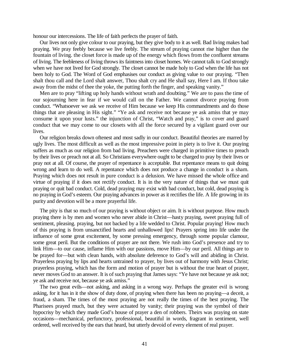honour our intercessions. The life of faith perfects the prayer of faith.

Our lives not only give colour to our praying, but they give body to it as well. Bad living makes bad praying. We pray feebly because we live feebly. The stream of praying cannot rise higher than the fountain of living. the closet force is made up of the energy which flows from the confluent streams of living. The feebleness of living throws its faintness into closet homes. We cannot talk to God strongly when we have not lived for God strongly. The closet cannot be made holy to God when the life has not been holy to God. The Word of God emphasises our conduct as giving value to our praying. "Then shalt thou call and the Lord shalt answer, Thou shalt cry and He shall say, Here I am. If thou take away from the midst of thee the yoke, the putting forth the finger, and speaking vanity."

Men are to pray "lifting up holy hands without wrath and doubting." We are to pass the time of our sojourning here in fear if we would call on the Father. We cannot divorce praying from conduct. "Whatsoever we ask we receive of Him because we keep His commandments and do those things that are pleasing in His sight." "Ye ask and receive not because ye ask amiss that ye may consume it upon your lusts." the injunction of Christ, "Watch and pray," is to cover and guard conduct that we may come to our closets with all the force secured by a vigilant guard over our lives.

Our religion breaks down oftenest and most sadly in our conduct. Beautiful theories are marred by ugly lives. The most difficult as well as the most impressive point in piety is to live it. Our praying suffers as much as our religion from bad living. Preachers were charged in primitive times to preach by their lives or preach not at all. So Christians everywhere ought to be charged to pray by their lives or pray not at all. Of course, the prayer of repentance is acceptable. But repentance means to quit doing wrong and learn to do well. A repentance which does not produce a change in conduct is a sham. Praying which does not result in pure conduct is a delusion. We have missed the whole office and virtue of praying if it does not rectify conduct. It is in the very nature of things that we must quit praying or quit bad conduct. Cold, dead praying may exist with bad conduct, but cold, dead praying is no praying in God's esteem. Our praying advances in power as it rectifies the life. A life growing in its purity and devotion will be a more prayerful life.

The pity is that so much of our praying is without object or aim. It is without purpose. How much praying there is by men and women who never abide in Christ—hasty praying, sweet praying full of sentiment, pleasing. praying, but not backed by a life wedded to Christ. Popular praying! How much of this praying is from unsanctified hearts and unhallowed lips! Prayers spring into life under the influence of some great excitement, by some pressing emergency, through some popular clamour, some great peril. But the conditions of prayer are not there. We rush into God's presence and try to link Him—to our cause, inflame Him with our passions, move Him—by our peril. All things are to be prayed for—but with clean hands, with absolute deference to God's will and abiding in Christ. Prayerless praying by lips and hearts untrained to prayer, by lives out of harmony with Jesus Christ; prayerless praying, which has the form and motion of prayer but is without the true heart of prayer, never moves God to an answer. It is of such praying that James says: "Ye have not because ye ask not; ye ask and receive not, because ye ask amiss."

The two great evils—not asking, and asking in a wrong way. Perhaps the greater evil is wrong asking, for it has in it the show of duty done, of praying when there has been no praying—a deceit, a fraud, a sham. The times of the most praying are not really the times of the best praying. The Pharisees prayed much, but they were actuated by vanity; their praying was the symbol of their hypocrisy by which they made God's house of prayer a den of robbers. Theirs was praying on state occasions—mechanical, perfunctory, professional, beautiful in words, fragrant in sentiment, well ordered, well received by the ears that heard, but utterly devoid of every element of real prayer.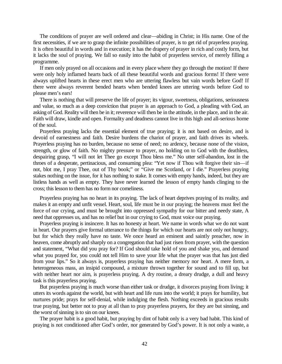The conditions of prayer are well ordered and clear—abiding in Christ; in His name. One of the first necessities, if we are to grasp the infinite possibilities of prayer, is to get rid of prayerless praying. It is often beautiful in words and in execution; it has the drapery of prayer in rich and costly form, but it lacks the soul of praying. We fall so easily into the habit of prayerless service, of merely filling a programme.

If men only prayed on all occasions and in every place where they go through the motion! If there were only holy inflamed hearts back of all these beautiful words and gracious forms! If there were always uplifted hearts in these erect men who are uttering flawless but vain words before God! If there were always reverent bended hearts when bended knees are uttering words before God to please men's ears!

There is nothing that will preserve the life of prayer; its vigour, sweetness, obligations, seriousness and value, so much as a deep conviction that prayer is an approach to God, a pleading with God, an asking of God. Reality will then be in it; reverence will then be in the attitude, in the place, and in the air. Faith will draw, kindle and open. Formality and deadness cannot live in this high and all-serious home of the soul.

Prayerless praying lacks the essential element of true praying; it is not based on desire, and is devoid of earnestness and faith. Desire burdens the chariot of prayer, and faith drives its wheels. Prayerless praying has no burden, because no sense of need; no ardency, because none of the vision, strength, or glow of faith. No mighty pressure to prayer, no holding on to God with the deathless, despairing grasp, "I will not let Thee go except Thou bless me." No utter self-abandon, lost in the throes of a desperate, pertinacious, and consuming plea: "Yet now if Thou wilt forgive their sin—if not, blot me, I pray Thee, out of Thy book;" or "Give me Scotland, or I die." Prayerless praying stakes nothing on the issue, for it has nothing to stake. It comes with empty hands, indeed, but they are listless hands as well as empty. They have never learned the lesson of empty hands clinging to the cross; this lesson to them has no form nor comeliness.

Prayerless praying has no heart in its praying. The lack of heart deprives praying of its reality, and makes it an empty and unfit vessel. Heart, soul, life must be in our praying; the heavens must feel the force of our crying, and must be brought into oppressed sympathy for our bitter and needy state, A need that oppresses us, and has no relief but in our crying to God, must voice our praying.

Prayerless praying is insincere. It has no honesty at heart. We name in words what we do not want in heart. Our prayers give formal utterance to the things for which our hearts are not only not hungry, but for which they really have no taste. We once heard an eminent and saintly preacher, now in heaven, come abruptly and sharply on a congregation that had just risen from prayer, with the question and statement, "What did you pray for? If God should take hold of you and shake you, and demand what you prayed for, you could not tell Him to save your life what the prayer was that has just died from your lips." So it always is, prayerless praying has neither memory nor heart. A mere form, a heterogeneous mass, an insipid compound, a mixture thrown together for sound and to fill up, but with neither heart nor aim, is prayerless praying. A dry routine, a dreary drudge, a dull and heavy task is this prayerless praying.

But prayerless praying is much worse than either task or drudge, it divorces praying from living; it utters its words against the world, but with heart and life runs into the world; it prays for humility, but nurtures pride; prays for self-denial, while indulging the flesh. Nothing exceeds in gracious results true praying, but better not to pray at all than to pray prayerless prayers, for they are but sinning, and the worst of sinning is to sin on our knees.

The prayer habit is a good habit, but praying by dint of habit only is a very bad habit. This kind of praying is not conditioned after God's order, nor generated by God's power. It is not only a waste, a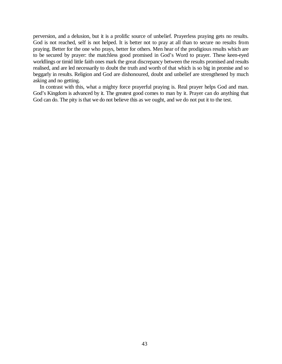perversion, and a delusion, but it is a prolific source of unbelief. Prayerless praying gets no results. God is not reached, self is not helped. It is better not to pray at all than to secure no results from praying. Better for the one who prays, better for others. Men hear of the prodigious results which are to be secured by prayer: the matchless good promised in God's Word to prayer. These keen-eyed worldlings or timid little faith ones mark the great discrepancy between the results promised and results realised, and are led necessarily to doubt the truth and worth of that which is so big in promise and so beggarly in results. Religion and God are dishonoured, doubt and unbelief are strengthened by much asking and no getting.

In contrast with this, what a mighty force prayerful praying is. Real prayer helps God and man. God's Kingdom is advanced by it. The greatest good comes to man by it. Prayer can do anything that God can do. The pity is that we do not believe this as we ought, and we do not put it to the test.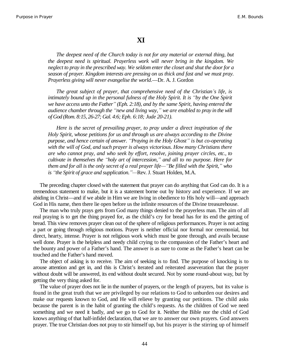#### **XI**

*The deepest need of the Church today is not for any material or external thing, but the deepest need is spiritual. Prayerless work will never bring in the kingdom. We neglect to pray in the prescribed way. We seldom enter the closet and shut the door for a season of prayer. Kingdom interests are pressing on us thick and fast and we must pray. Prayerless giving will never evangelise the world*.—Dr. A. J. Gordon

*The great subject of prayer, that comprehensive need of the Christian¶s life, is intimately bound up in the personal fulness of the Holy Spirit. It is "by the One Spirit we have access unto the Father´ (Eph. 2:18), and by the same Spirit, having entered the audience chamber through the ³new and living way,´ we are enabled to pray in the will of God (Rom. 8:15, 26-27; Gal. 4:6; Eph. 6:18; Jude 20-21).*

*Here is the secret of prevailing prayer, to pray under a direct inspiration of the Holy Spirit, whose petitions for us and through us are always according to the Divine purpose, and hence certain of answer. ³Praying in the Holy Ghost´ is but co-operating with the will of God, and such prayer is always victorious. How many Christians there are who cannot pray, and who seek by effort, resolve, joining prayer circles, etc., to cultivate in themselves the ³holy art of intercession,´ and all to no purpose. Here for them and for all is the only secret of a real prayer life*— "Be filled with the Spirit,<sup>"</sup> who *is "the Spirit of grace and supplication.* "—Rev. J. Stuart Holden, M.A.

The preceding chapter closed with the statement that prayer can do anything that God can do. It is a tremendous statement to make, but it is a statement borne out by history and experience. If we are abiding in Christ—and if we abide in Him we are living in obedience to His holy will—and approach God in His name, then there lie open before us the infinite resources of the Divine treasurehouse.

The man who truly prays gets from God many things denied to the prayerless man. The aim of all real praying is to get the thing prayed for, as the child's cry for bread has for its end the getting of bread. This view removes prayer clean out of the sphere of religious performances. Prayer is not acting a part or going through religious motions. Prayer is neither official nor formal nor ceremonial, but direct, hearty, intense. Prayer is not religious work which must be gone through, and avails because well done. Prayer is the helpless and needy child crying to the compassion of the Father's heart and the bounty and power of a Father's hand. The answer is as sure to come as the Father's heart can be touched and the Father's hand moved.

The object of asking is to receive. The aim of seeking is to find. The purpose of knocking is to arouse attention and get in, and this is Christ's iterated and reiterated asseveration that the prayer without doubt will be answered, its end without doubt secured. Not by some round-about way, but by getting the very thing asked for.

The value of prayer does not lie in the number of prayers, or the length of prayers, but its value is found in the great truth that we are privileged by our relations to God to unburden our desires and make our requests known to God, and He will relieve by granting our petitions. The child asks because the parent is in the habit of granting the child's requests. As the children of God we need something and we need it badly, and we go to God for it. Neither the Bible nor the child of God knows anything of that half-infidel declaration, that we are to answer our own prayers. God answers prayer. The true Christian does not pray to stir himself up, but his prayer is the stirring up of himself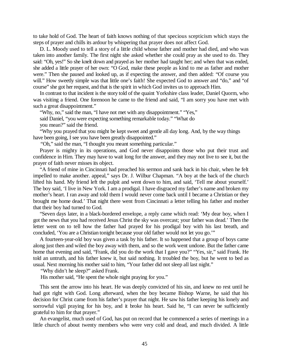to take hold of God. The heart of faith knows nothing of that specious scepticism which stays the steps of prayer and chills its ardour by whispering that prayer does not affect God.

D. L. Moody used to tell a story of a little child whose father and mother had died, and who was taken into another family. The first night she asked whether she could pray as she used to do. They said: "Oh, yes!" So she knelt down and prayed as her mother had taught her; and when that was ended, she added a little prayer of her own: "O God, make these people as kind to me as father and mother were." Then she paused and looked up, as if expecting the answer, and then added: "Of course you will." How sweetly simple was that little one's faith! She expected God to answer and "do," and "of course" she got her request, and that is the spirit in which God invites us to approach Him.

In contrast to that incident is the story told of the quaint Yorkshire class leader, Daniel Quorm, who was visiting a friend. One forenoon he came to the friend and said, "I am sorry you have met with such a great disappointment."

"Why, no," said the man, "I have not met with any disappointment." "Yes,"

said Daniel, "you were expecting something remarkable today." "What do you mean?" said the friend.

"Why you prayed that you might be kept sweet and gentle all day long. And, by the way things have been going, I see you have been greatly disappointed."

"Oh," said the man, "I thought you meant something particular."

Prayer is mighty in its operations, and God never disappoints those who put their trust and confidence in Him. They may have to wait long for the answer, and they may not live to see it, but the prayer of faith never misses its object.

"A friend of mine in Cincinnati had preached his sermon and sank back in his chair, when he felt impelled to make another. appeal," says Dr. J. Wilbur Chapman. "A boy at the back of the church lifted his hand. My friend left the pulpit and went down to him, and said, 'Tell me about yourself.' The boy said, 'I live in New York. I am a prodigal. I have disgraced my father's name and broken my mother's heart. I ran away and told them I would never come back until I became a Christian or they brought me home dead.' That night there went from Cincinnati a letter telling his father and mother that their boy had turned to God.

"Seven days later, in a black-bordered envelope, a reply came which read: 'My dear boy, when I got the news that you had received Jesus Christ the sky was overcast; your father was dead.' Then the letter went on to tell how the father had prayed for his prodigal boy with his last breath, and concluded, 'You are a Christian tonight because your old father would not let you go.'"

A fourteen-year-old boy was given a task by his father. It so happened that a group of boys came along just then and wiled the boy away with them, and so the work went undone. But the father came home that evening and said, "Frank, did you do the work that I gave you?" "Yes, sir," said Frank. He told an untruth, and his father knew it, but said nothing. It troubled the boy, but he went to bed as usual. Next morning his mother said to him, "Your father did not sleep all last night."

"Why didn't he sleep?" asked Frank.

His mother said, "He spent the whole night praying for you."

This sent the arrow into his heart. He was deeply convicted of his sin, and knew no rest until he had got right with God. Long afterward, when the boy became Bishop Warne, he said that his decision for Christ came from his father's prayer that night. He saw his father keeping his lonely and sorrowful vigil praying for his boy, and it broke his heart. Said he, "I can never be sufficiently grateful to him for that prayer."

An evangelist, much used of God, has put on record that he commenced a series of meetings in a little church of about twenty members who were very cold and dead, and much divided. A little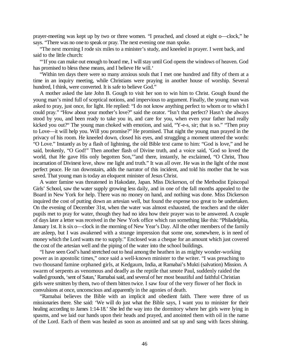prayer-meeting was kept up by two or three women. "I preached, and closed at eight o—clock," he says. "There was no one to speak or pray. The next evening one man spoke.

"The next morning I rode six miles to a minister's study, and kneeled in prayer. I went back, and said to the little church:

"'If you can make out enough to board me, I will stay until God opens the windows of heaven. God has promised to bless these means, and I believe He will.'

"Within ten days there were so many anxious souls that I met one hundred and fifty of them at a time in an inquiry meeting, while Christians were praying in another house of worship. Several hundred, I think, were converted. It is safe to believe God."

A mother asked the late John B. Gough to visit her son to win him to Christ. Gough found the young man's mind full of sceptical notions, and impervious to argument. Finally, the young man was asked to pray, just once, for light. He replied: "I do not know anything perfect to whom or to which I could pray." "How about your mother's love?" said the orator. "Isn't that perfect? Hasn't she always stood by you, and been ready to take you in, and care for you, when even your father had really kicked you out?" The young man choked with emotion, and said, "Y-e-s, sir; that is so." "Then pray to Love—it will help you. Will you promise?" He promised. That night the young man prayed in the privacy of his room. He kneeled down, closed his eyes, and struggling a moment uttered the words: "O Love." Instantly as by a flash of lightning, the old Bible text came to him: "God is love," and he said, brokenly, "O God!" Then another flash of Divine truth, and a voice said, 'God so loved the world, that He gave His only begotten Son,'"and there, instantly, he exclaimed, "O Christ, Thou incarnation of Divinest love, show me light and truth." It was all over. He was in the light of the most perfect peace. He ran downstairs, adds the narrator of this incident, and told his mother that he was saved. That young man is today an eloquent minister of Jesus Christ.

A water famine was threatened in Hakodate, Japan. Miss Dickerson, of the Methodist Episcopal Girls' School, saw the water supply growing less daily, and in one of the fall months appealed to the Board in New York for help. There was no money on hand, and nothing was done. Miss Dickerson inquired the cost of putting down an artesian well, but found the expense too great to be undertaken. On the evening of December 31st, when the water was almost exhausted, the teachers and the older pupils met to pray for water, though they had no idea how their prayer was to be answered. A couple of days later a letter was received in the New York office which ran something like this: "Philadelphia, January 1st. It is six o—clock in the morning of New Year's Day. All the other members of the family are asleep, but I was awakened with a strange impression that some one, somewhere, is in need of money which the Lord wants me to supply." Enclosed was a cheque for an amount which just covered the cost of the artesian well and the piping of the water into the school buildings.

"I have seen God's hand stretched out to heal among the heathen in as mighty wonder-working power as in apostolic times," once said a well-known minister to the writer. "I was preaching to two thousand famine orphaned girls, at Kedgaum, India, at Ramabai's Mukti (salvation) Mission. A swarm of serpents as venomous and deadly as the reptile that smote Paul, suddenly raided the walled grounds, 'sent of Satan,' Ramabai said, and several of her most beautiful and faithful Christian girls were smitten by them, two of them bitten twice. I saw four of the very flower of her flock in convulsions at once, unconscious and apparently in the agonies of death.

"Ramabai believes the Bible with an implicit and obedient faith. There were three of us missionaries there. She said: 'We will do just what the Bible says, I want you to minister for their healing according to James 1:14-18.' She led the way into the dormitory where her girls were lying in spasms, and we laid our hands upon their heads and prayed, and anointed them with oil in the name of the Lord. Each of them was healed as soon as anointed and sat up and sang with faces shining.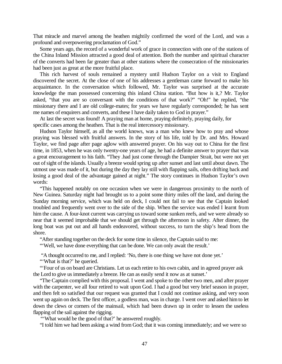That miracle and marvel among the heathen mightily confirmed the word of the Lord, and was a profound and overpowering proclamation of God."

Some years ago, the record of a wonderful work of grace in connection with one of the stations of the China Inland Mission attracted a good deal of attention. Both the number and spiritual character of the converts had been far greater than at other stations where the consecration of the missionaries had been just as great at the more fruitful place.

This rich harvest of souls remained a mystery until Hudson Taylor on a visit to England discovered the secret. At the close of one of his addresses a gentleman came forward to make his acquaintance. In the conversation which followed, Mr. Taylor was surprised at the accurate knowledge the man possessed concerning this inland China station. "But how is it,? Mr. Taylor asked, "that you are so conversant with the conditions of that work?" "Oh!" he replied, "the missionary there and I are old college-mates; for years we have regularly corresponded; he has sent me names of enquirers and converts, and these I have daily taken to God in prayer."

At last the secret was found! A praying man at home, praying definitely, praying daily, for specific cases among the heathen. That is the real intercessory missionary.

Hudson Taylor himself, as all the world knows, was a man who knew how to pray and whose praying was blessed with fruitful answers. In the story of his life, told by Dr. and Mrs. Howard Taylor, we find page after page aglow with answered prayer. On his way out to China for the first time, in 1853, when he was only twenty-one years of age, he had a definite answer to prayer that was a great encouragement to his faith. "They .had just come through the Dampier Strait, but were not yet out of sight of the islands. Usually a breeze would spring up after sunset and last until about dawn. The utmost use was made of it, but during the day they lay still with flapping sails, often drifting back and losing a good deal of the advantage gained at night." The story continues in Hudson Taylor's own words:

"This happened notably on one occasion when we were in dangerous proximity to the north of New Guinea. Saturday night had brought us to a point some thirty miles off the land, and during the Sunday morning service, which was held on deck, I could not fail to see that the Captain looked troubled and frequently went over to the side of the ship. When the service was ended I learnt from him the cause. A four-knot current was carrying us toward some sunken reefs, and we were already so near that it seemed improbable that we should get through the afternoon in safety. After dinner, the long boat was put out and all hands endeavored, without success, to turn the ship's head from the shore.

"After standing together on the deck for some time in silence, the Captain said to me:

"'Well, we have done everything that can be done. We can only await the result.'

"A thought occurred to me, and I replied: 'No, there is one thing we have not done yet.'

"'What is that?' he queried.

"'Four of us on board are Christians. Let us each retire to his own cabin, and in agreed prayer ask the Lord to give us immediately a breeze. He can as easily send it now as at sunset.'

"The Captain complied with this proposal. I went and spoke to the other two men, and after prayer with the carpenter, we all four retired to wait upon God. I had a good but very brief season in prayer, and then felt so satisfied that our request was granted that I could not continue asking, and very soon went up again on deck. The first officer, a godless man, was in charge. I went over and asked him to let down the clews or corners of the mainsail, which had been drawn up in order to lessen the useless flapping of the sail against the rigging.

"What would be the good of that?' he answered roughly.

"I told him we had been asking a wind from God; that it was coming immediately; and we were so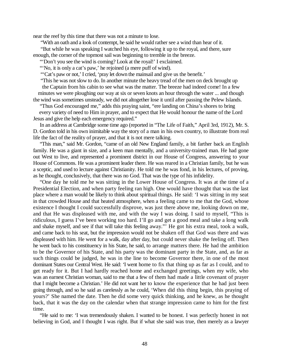near the reef by this time that there was not a minute to lose.

"With an oath and a look of contempt, he said he would rather see a wind than hear of it.

"But while he was speaking I watched his eye, following it up to the royal, and there, sure enough, the corner of the topmost sail was beginning to tremble in the breeze.

"'Don't you see the wind is coming? Look at the royal!' I exclaimed.

"'No, it is only a cat's paw,' he rejoined (a mere puff of wind).

"Cat's paw or not,' I cried, 'pray let down the mainsail and give us the benefit.'

"This he was not slow to do. In another minute the heavy tread of the men on deck brought up the Captain from his cabin to see what was the matter. The breeze had indeed come! In a few

minutes we were ploughing our way at six or seven knots an hour through the water ... and though the wind was sometimes unsteady, we did not altogether lose it until after passing the Pelew Islands.

"Thus God encouraged me," adds this praying saint, "ere landing on China's shores to bring

every variety of need to Him in prayer, and to expect that He would honour the name of the Lord Jesus and give the help each emergency required."

In an address at Cambridge some time ago (reported in "The Life of Faith," April 3rd, 1912), Mr. S. D. Gordon told in his own inimitable way the story of a man in his own country, to illustrate from real life the fact of the reality of prayer, and that it is not mere talking.

"This man," said Mr. Gordon, "came of an old New England family, a bit farther back an English family. He was a giant in size, and a keen man mentally, and a university-trained man. He had gone out West to live, and represented a prominent district in our House of Congress, answering to your House of Commons. He was a prominent leader there. He was reared in a Christian family, but he was a sceptic, and used to lecture against Christianity. He told me he was fond, in his lectures, of proving, as he thought, conclusively, that there was no God. That was the type of his infidelity.

"One day he told me he was sitting in the Lower House of Congress. It was at the time of a Presidential Election, and when party feeling ran high. One would have thought that was the last place where a man would be likely to think about spiritual things. He said: 'I was sitting in my seat in that crowded House and that heated atmosphere, when a feeling came to me that the God, whose existence I thought I could successfully disprove, was just there above me, looking down on me, and that He was displeased with me, and with the way I was doing. I said to myself, "This is ridiculous, I guess I've been working too hard. I'll go and get a good meal and take a long walk and shake myself, and see if that will take this feeling away."' He got his extra meal, took a walk, and came back to his seat, but the impression would not be shaken off that God was there and was displeased with him. He went for a walk, day after day, but could never shake the feeling off. Then he went back to his constituency in his State, he said, to arrange matters there. He had the ambition to be the Governor of his State, and his party was the dominant party in the State, and, as far as such things could be judged, he was in the line to become Governor there, in one of the most dominant States our Central West. He said: 'I went home to fix that thing up as far as I could, and to get ready for it. But I had hardly reached home and exchanged greetings, when my wife, who was an earnest Christian woman, said to me that a few of them had made a little covenant of prayer that I might become a Christian.' He did not want her to know the experience that he had just been going through, and so he said as carelessly as he could, 'When did this thing begin, this praying of yours?' She named the date. Then he did some very quick thinking, and he knew, as he thought back, that it was the day on the calendar when that strange impression came to him for the first time.

"He said to me: 'I was tremendously shaken. I wanted to be honest. I was perfectly honest in not believing in God, and I thought I was right. But if what she said was true, then merely as a lawyer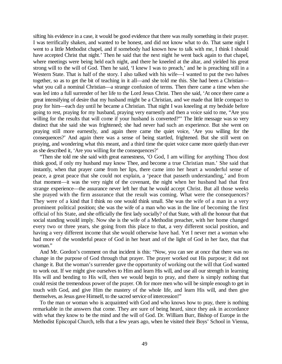sifting his evidence in a case, it would be good evidence that there was really something in their prayer. I was terrifically shaken, and wanted to be honest, and did not know what to do. That same night I went to a little Methodist chapel, and if somebody had known how to talk with me, I think I should have accepted Christ that night.' Then he said that the next night he went back again to that chapel, where meetings were being held each night, and there he kneeled at the altar, and yielded his great strong will to the will of God. Then he said, 'I knew I was to preach,' and he is preaching still in a Western State. That is half of the story. I also talked with his wife—I wanted to put the two halves together, so as to get the bit of teaching in it all—and she told me this. She had been a Christian what you call a nominal Christian—a strange confusion of terms. Then there came a time when she was led into a full surrender of her life to the Lord Jesus Christ. Then she said, 'At once there came a great intensifying of desire that my husband might be a Christian, and we made that little compact to pray for him—each day until he became a Christian. That night I was kneeling at my bedside before going to rest, praying for my husband, praying very earnestly and then a voice said to me, "Are you willing for the results that will come if your husband is converted?" The little message was so very distinct that she said she was frightened; she had never had such an experience. But she went on praying still more earnestly, and again there came the quiet voice, 'Are you willing for the consequences?' And again there was a sense of being startled, frightened. But she still went on praying, and wondering what this meant, and a third time the quiet voice came more quietly than ever as she described it, 'Are you willing for the consequences?'

"Then she told me she said with great earnestness, 'O God, I am willing for anything Thou dost think good, if only my husband may know Thee, and become a true Christian man.' She said that instantly, when that prayer came from her lips, there came into her heart a wonderful sense of peace, a great peace that she could not explain, a 'peace that passeth understanding,' and from that moment—it was the very night of the covenant, the night when her husband had that first strange experience—the assurance never left her that he would accept Christ. But all those weeks she prayed with the firm assurance that the result was coming. What were the consequences? They were of a kind that I think no one would think small. She was the wife of a man in a very prominent political position; she was the wife of a man who was in the line of becoming the first official of his State, and she officially the first lady socially? of that State, with all the honour that that social standing would imply. Now she is the wife of a Methodist preacher, with her home changed every two or three years, she going from this place to that, a very different social position, and having a very different income that she would otherwise have had. Yet I never met a woman who had more of the wonderful peace of God in her heart and of the light of God in her face, that that woman."

And Mr. Gordon's comment on that incident is this: "Now, you can see at once that there was no change in the purpose of God through that prayer. The prayer worked out His purpose; it did not change it. But the woman's surrender gave the opportunity of working out the will that God wanted to work out. If we might give ourselves to Him and learn His will, and use all our strength in learning His will and bending to His will, then we would begin to pray, and there is simply nothing that could resist the tremendous power of the prayer. Oh for more men who will be simple enough to get in touch with God, and give Him the mastery of the whole life, and learn His will, and then give themselves, as Jesus gave Himself, to the sacred service of intercession!"

To the man or woman who is acquainted with God and who knows how to pray, there is nothing remarkable in the answers that come. They are sure of being heard, since they ask in accordance with what they know to be the mind and the will of God. Dr. William Burr, Bishop of Europe in the Methodist Episcopal Church, tells that a few years ago, when he visited their Boys' School in Vienna,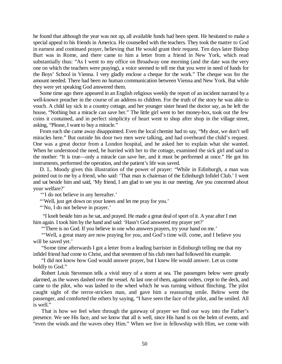he found that although the year was not up, all available funds had been spent. He hesitated to make a special appeal to his friends in America. He counselled with the teachers. They took the matter to God in earnest and continued prayer, believing that He would grant their request. Ten days later Bishop Burt was in Rome, and there came to him a letter from a friend in New York, which read substantially thus: "As I went to my office on Broadway one morning (and the date was the very one on which the teachers were praying), a voice seemed to tell me that you were in need of funds for the Boys' School in Vienna. I very gladly enclose a cheque for the work." The cheque was for the amount needed. There had been no human communication between Vienna and New York. But while they were yet speaking God answered them.

Some time ago there appeared in an English religious weekly the report of an incident narrated by a well-known preacher in the course of an address to children. For the truth of the story he was able to vouch. A child lay sick in a country cottage, and her younger sister heard the doctor say, as he left the house, "Nothing but a miracle can save her." The little girl went to her money-box, took out the few coins it contained, and in perfect simplicity of heart went to shop after shop in the village street, asking, "Please, I want to buy a miracle."

From each she came away disappointed. Even the local chemist had to say, "My dear, we don't sell miracles here." But outside his door two men were talking, and had overheard the child's request. One was a great doctor from a London hospital, and he asked her to explain what she wanted. When he understood the need, he hurried with her to the cottage, examined the sick girl and said to the mother: "It is true—only a miracle can save her, and it must be performed at once." He got his instruments, performed the operation, and the patient's life was saved.

D. L. Moody gives this illustration of the power of prayer: "While in Edinburgh, a man was pointed out to me by a friend, who said: 'That man is chairman of the Edinburgh Infidel Club.' I went and sat beside him and said, 'My friend, I am glad to see you in our meeting. Are you concerned about your welfare?'

"I do not believe in any hereafter."

"'Well, just get down on your knees and let me pray for you.'

"No, I do not believe in prayer."

 "I knelt beside him as he sat, and prayed. He made a great deal of sport of it. A year after I met him again. I took him by the hand and said: 'Hasn't God answered my prayer yet?'

"'There is no God. If you believe in one who answers prayers, try your hand on me.'

"Well, a great many are now praying for you, and God's time will. come, and I believe you will be saved yet.'

"Some time afterwards I got a letter from a leading barrister in Edinburgh telling me that my infidel friend had come to Christ, and that seventeen of his club men had followed his example.

"I did not know how God would answer prayer, but I knew He would answer. Let us come boldly to God."

Robert Louis Stevenson tells a vivid story of a storm at sea. The passengers below were greatly alarmed, as the waves dashed over the vessel. At last one of them, against orders, crept to the deck, and came to the pilot, who was lashed to the wheel which he was turning without flinching. The pilot caught sight of the terror-stricken man, and gave him a reassuring smile. Below went the passenger, and comforted the others by saying, "I have seen the face of the pilot, and he smiled. All is well."

That is how we feel when through the gateway of prayer we find our way into the Father's presence. We see His face, and we know that all is well, since His hand is on the helm of events, and "even the winds and the waves obey Him." When we live in fellowship with Him, we come with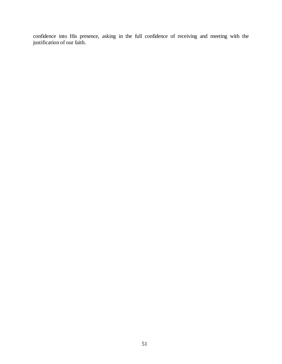confidence into His presence, asking in the full confidence of receiving and meeting with the justification of our faith.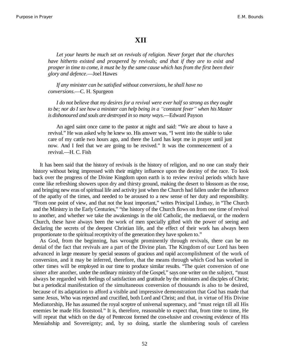### **XII**

*Let your hearts be much set on revivals of religion. Never forget that the churches have hitherto existed and prospered by revivals; and that if they are to exist and prosper in time to come, it must be by the same cause which has from the first been their glory and defence*.—Joel Hawes

*If any minister can be satisfied without conversions, he shall have no conversions*.—C. H. Spurgeon

*I do not believe that my desires for a revival were ever half so strong as they ought to be; nor do I see how a minister can help being in a ³constant fever´ when his Master is dishonoured and souls are destroyed in so many ways*.—Edward Payson

An aged saint once came to the pastor at night and said: "We are about to have a revival." He was asked why he knew so. His answer was, "I went into the stable to take care of my cattle two hours ago, and there the Lord has kept me in prayer until just now. And I feel that we are going to be revived." It was the commencement of a revival.—H. C. Fish

It has been said that the history of revivals is the history of religion, and no one can study their history without being impressed with their mighty influence upon the destiny of the race. To look back over the progress of the Divine Kingdom upon earth is to review revival periods which have come like refreshing showers upon dry and thirsty ground, making the desert to blossom as the rose, and bringing new eras of spiritual life and activity just when the Church had fallen under the influence of the apathy of the times, and needed to be aroused to a new sense of her duty and responsibility. "From one point of view, and that not the least important," writes Principal Lindsay, in "The Church and the Ministry in the Early Centuries," "the history of the Church flows on from one time of revival to another, and whether we take the awakenings in the old Catholic, the mediaeval, or the modern Church, these have always been the work of men specially gifted with the power of seeing and declaring the secrets of the deepest Christian life, and the effect of their work has always been proportionate to the spiritual receptivity of the generation they have spoken to."

As God, from the beginning, has wrought prominently through revivals, there can be no denial of the fact that revivals are a part of the Divine plan. The Kingdom of our Lord has been advanced in large measure by special seasons of gracious and rapid accomplishment of the work of conversion, and it may be inferred, therefore, that the means through which God has worked in other times will be employed in our time to produce similar results. "The quiet conversion of one sinner after another, under the ordinary ministry of the Gospel," says one writer on the subject, "must always be regarded with feelings of satisfaction and gratitude by the ministers and disciples of Christ; but a periodical manifestation of the simultaneous conversion of thousands is also to be desired, because of its adaptation to afford a visible and impressive demonstration that God has made that same Jesus, Who was rejected and crucified, both Lord and Christ; and that, in virtue of His Divine Mediatorship, He has assumed the royal sceptre of universal supremacy, and "must reign till all His enemies be made His footstool." It is, therefore, reasonable to expect that, from time to time, He will repeat that which on the day of Pentecost formed the con-elusive and crowning evidence of His Messiahship and Sovereignty; and, by so doing, startle the slumbering souls of careless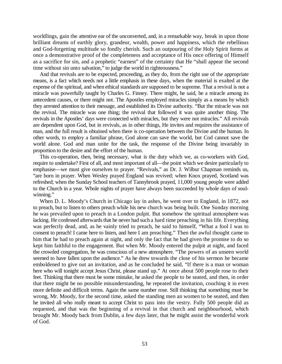worldlings, gain the attentive ear of the unconverted, and, in a remarkable way, break in upon those brilliant dreams of earthly glory, grandeur, wealth, power and happiness, which the rebellious and God-forgetting multitude so fondly cherish. Such an outpouring of the Holy Spirit forms at once a demonstrative proof of the completeness and acceptance of His once offering of Himself as a sacrifice for sin, and a prophetic "earnest" of the certainty that He "shall appear the second time without sin unto salvation," to judge the world in righteousness."

And that revivals are to be expected, proceeding, as they do, from the right use of the appropriate means, is a fact which needs not a little emphasis in these days, when the material is exalted at the expense of the spiritual, and when ethical standards are supposed to be supreme. That a revival is not a miracle was powerfully taught by Charles G. Finney. There might, he said, be a miracle among its antecedent causes, or there might not. The Apostles employed miracles simply as a means by which they arrested attention to their message, and established its Divine authority. "But the miracle was not the revival. The miracle was one thing; the revival that followed it was quite another thing. The revivals in the Apostles' days were connected with miracles, but they were not miracles." All revivals are dependent upon God, but in revivals, as in other things, He invites and requires the assistance of man, and the full result is obtained when there is co-operation between the Divine and the human. In other words, to employ a familiar phrase, God alone can save the world, but Cod cannot save the world alone. God and man unite for the task, the response of the Divine being invariably in proportion to the desire and the effort of the human.

This co-operation, then, being necessary, what is the duty which we, as co-workers with God, require to undertake? First of all, and most important of all—the point which we desire particularly to emphasise—we must give ourselves to prayer. "Revivals," as Dr. J. Wilbur Chapman reminds us, "are born in prayer. When Wesley prayed England was revived; when Knox prayed, Scotland was refreshed; when the Sunday School teachers of Tannybrook prayed, 11,000 young people were added to the Church in a year. Whole nights of prayer have always been succeeded by whole days of soulwinning."

When D. L. Moody's Church in Chicago lay in ashes, he went over to England, in 1872, not to preach, but to listen to others preach while his new church was being built. One Sunday morning he was prevailed upon to preach in a London pulpit. But somehow the spiritual atmosphere was lacking. He confessed afterwards that he never had such a hard time preaching in his life. Everything was perfectly dead, and, as he vainly tried to preach, he said to himself, "What a fool I was to consent to preach! I came here to listen, and here I am preaching." Then the awful thought came to him that he had to preach again at night, and only the fact that he had given the promise to do so kept him faithful to the engagement. But when Mr. Moody entered the pulpit at night, and faced the crowded congregation, he was conscious of a new atmosphere. "The powers of an unseen world seemed to have fallen upon the audience." As he drew towards the close of his sermon he became emboldened to give out an invitation, and as he concluded he said, "If there is a man or woman here who will tonight accept Jesus Christ, please stand up." At once about 500 people rose to their feet. Thinking that there must be some mistake, he asked the people to be seated, and then, in order that there might be no possible misunderstanding, he repeated the invitation, couching it in even more definite and difficult terms. Again the same number rose. Still thinking that something must be wrong, Mr. Moody, for the second time, asked the standing men an women to be seated, and then he invited all who really meant to accept Christ to pass into the vestry. Fully 500 people did as requested, and that was the beginning of a revival in that church and neighbourhood, which brought Mr. Moody back from Dublin, a few days later, that he might assist the wonderful work of God.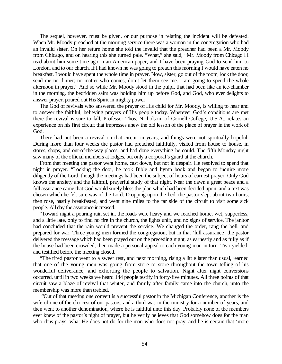The sequel, however, must be given, or our purpose in relating the incident will be defeated. When Mr. Moody preached at the morning service there was a woman in the congregation who had an invalid sister. On her return home she told the invalid that the preacher had been a Mr. Moody from Chicago, and on hearing this she turned pale. "What," she said, "Mr. Moody from Chicago l I read about him some time ago in an American paper, and I have been praying God to send him to London, and to our church. If I had known he was going to preach this morning I would have eaten no breakfast. I would have spent the whole time in prayer. Now, sister, go out of the room, lock the door, send me no dinner; no matter who comes, don't let them see me. I am going to spend the whole afternoon in prayer." And so while Mr. Moody stood in the pulpit that had been like an ice-chamber in the morning, the bedridden saint was holding him up before God, and God, who ever delights to answer prayer, poured out His Spirit in mighty power.

The God of revivals who answered the prayer of His child for Mr. Moody, is willing to hear and to answer the faithful, believing prayers of His people today. Wherever God's conditions are met there the revival is sure to fall. Professor Thos. Nicholson, of Cornell College, U.S.A., relates an experience on his first circuit that impresses anew the old lesson of the place of prayer in the work of God.

There had not been a revival on that circuit in years, and things were not spiritually hopeful. During more than four weeks the pastor had preached faithfully, visited from house to house, in stores, shops, and out-of-the-way places, and had done everything he could. The fifth Monday night saw many of the official members at lodges, but only a corporal's guard at the church.

From that meeting the pastor went home, cast down, but not in despair. He resolved to spend that night in prayer. "Locking the door, he took Bible and hymn book and began to inquire more diligently of the Lord, though the meetings had been the subject of hours of earnest prayer. Only God knows the anxiety and the faithful, prayerful study of that night. Near the dawn a great peace and a full assurance came that God would surely bless the plan which had been decided upon, and a text was chosen which he felt sure was of the Lord. Dropping upon the bed, the pastor slept about two hours, then rose, hastily breakfasted, and went nine miles to the far side of the circuit to visit some sick people. All day the assurance increased.

"Toward night a pouring rain set in, the roads were heavy and we reached home, wet, supperless, and a little late, only to find no fire in the church, the lights unlit, and no signs of service. The janitor had concluded that the rain would prevent the service. We changed the order, rang the bell, and prepared for war. Three young men formed the congregation, but in that 'full assurance' the pastor delivered the message which had been prayed out on the preceding night, as earnestly and as fully as if the house had been crowded, then made a personal appeal to each young man in turn. Two yielded, and testified before the meeting closed.

"The tired pastor went to a sweet rest, and next morning, rising a little later than usual, learned that one of the young men was going from store to store throughout the town telling of his wonderful deliverance, and exhorting the people to salvation. Night after night conversions occurred, until in two weeks we heard 144 people testify in forty-five minutes. All three points of that circuit saw a blaze of revival that winter, and family after family came into the church, unto the membership was more than trebled.

"Out of that meeting one convert is a successful pastor in the Michigan Conference, another is the wife of one of the choicest of our pastors, and a third was in the ministry for a number of years, and then went to another denomination, where he is faithful unto this day. Probably none of the members ever knew of the pastor's night of prayer, but he verily believes that God somehow does for the man who thus prays, what He does not do for the man who does not pray, and he is certain that 'more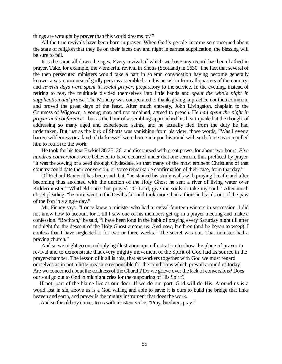things are wrought by prayer than this world dreams of.'"

All the true revivals have been born in prayer. When God's people become so concerned about the state of religion that they lie on their faces day and night in earnest supplication, the blessing will be sure to fail.

It is the same all down the ages. Every revival of which we have any record has been bathed in prayer. Take, for example, the wonderful revival in Shotts (Scotland) in 1630. The fact that several of the then persecuted ministers would take a part in solemn convocation having become generally known, a vast concourse of godly persons assembled on this occasion from all quarters of the country, and *several days were spent in social prayer,* preparatory to the service. In the evening, instead of retiring to rest, the multitude divided themselves into little bands and *spent the whole night in supplication and praise.* The Monday was consecrated to thanksgiving, a practice not then common, and proved the great days of the feast. After much entreaty, John Livingston, chaplain to the Countess of Wigtown, a young man and not ordained, agreed to preach. He *had spent the night in prayer and conference*—but as the hour of assembling approached his heart quailed at the thought of addressing so many aged and experienced saints, and he actually fled from the duty he had undertaken. But just as the kirk of Shotts was vanishing from his view, those words, "Was I ever a barren wilderness or a land of darkness?" were borne in upon his mind with such force as compelled him to return to the work.

He took for his text Ezekiel 36:25, 26, and discoursed with great power for about two hours. *Five hundred conversions* were believed to have occurred under that one sermon, thus prefaced by prayer. "It was the sowing of a seed through Clydesdale, so that many of the most eminent Christians of that country could date their conversion, or some remarkable confirmation of their case, from that day."

Of Richard Baxter it has been said that, "he stained his study walls with praying breath; and after becoming thus anointed with the unction of the Holy Ghost he sent a river of living water over Kidderminster." Whitfield once thus prayed, "O Lord, give me souls or take my soul." After much closet pleading, "he once went to the Devil's fair and took more than a thousand souls out of the paw of the lion in a single day."

Mr. Finney says: "I once knew a minister who had a revival fourteen winters in succession. I did not know how to account for it till I saw one of his members get up in a prayer meeting and make a confession. "Brethren," he said, "I have been long in the habit of praying every Saturday night till after midnight for the descent of the Holy Ghost among us. And now, brethren (and he began to weep), I confess that I have neglected it for two or three weeks." The secret was out. That minister had a praying church."

And so we might go on multiplying illustration upon illustration to show the place of prayer in revival and to demonstrate that every mighty movement of the Spirit of God had its source in the prayer-chamber. The lesson of it all is this, that as workers together with God we must regard ourselves as in not a little measure responsible for the conditions which prevail around us today. Are we concerned about the coldness of the Church? Do we grieve over the lack of conversions? Does our soul go out to God in midnight cries for the outpouring of His Spirit?

If not, part of the blame lies at our door. If we do our part, God will do His. Around us is a world lost in sin, above us is a God willing and able to save; it is ours to build the bridge that links heaven and earth, and prayer is the mighty instrument that does the work.

And so the old cry comes to us with insistent voice, "Pray, brethren, pray."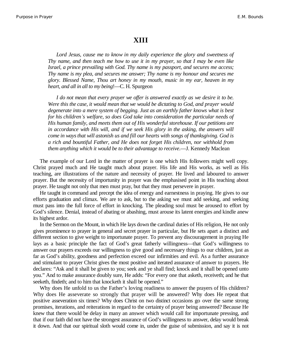#### **XIII**

*Lord Jesus, cause me to know in my daily experience the glory and sweetness of Thy name, and then teach me how to use it in my prayer, so that I may be even like Israel, a prince prevailing with God. Thy name is my passport, and secures me access; Thy name is my plea, and secures me answer; Thy name is my honour and secures me glory. Blessed Name, Thou art honey in my mouth, music in my ear, heaven in my heart, and all in all to my being*!—C. H. Spurgeon

*I do not mean that every prayer we offer is answered exactly as we desire it to be. Were this the case, it would mean that we would be dictating to God, and prayer would degenerate into a mere system of begging. Just as an earthly father knows what is best for his children¶s welfare, so does God take into consideration the particular needs of His human family, and meets them out of His wonderful storehouse. If our petitions are in accordance with His will, and if we seek His glory in the asking, the answers will come in ways that will astonish us and fill our hearts with songs of thanksgiving. God is a rich and bountiful Father, and He does not forget His children, nor withhold from them anything which it would be to their advantage to receive.—J. Kennedy Maclean* 

The example of our Lord in the matter of prayer is one which His followers might well copy. Christ prayed much and He taught much about prayer. His life and His works, as well as His teaching, are illustrations of the nature and necessity of prayer. He lived and laboured to answer prayer. But the necessity of importunity in prayer was the emphasised point in His teaching about prayer. He taught not only that men must pray, but that they must persevere in prayer.

He taught in command and precept the idea of energy and earnestness in praying. He gives to our efforts graduation and climax. We are to ask, but to the asking we must add seeking, and seeking must pass into the full force of effort in knocking. The pleading soul must be aroused to effort by God's silence. Denial, instead of abating or abashing, must arouse its latent energies and kindle anew its highest ardor.

In the Sermon on the Mount, in which He lays down the cardinal duties of His religion, He not only gives prominence to prayer in general and secret prayer in particular, but He sets apart a distinct and different section to give weight to importunate prayer. To prevent any discouragement in praying He lays as a basic principle the fact of God's great fatherly willingness—that God's willingness to answer our prayers exceeds our willingness to give good and necessary things to our children, just as far as God's ability, goodness and perfection exceed our infirmities and evil. As a further assurance and stimulant to prayer Christ gives the most positive and iterated assurance of answer to prayers. He declares: "Ask and it shall be given to you; seek and ye shall find; knock and it shall be opened unto you." And to make assurance doubly sure, He adds: "For every one that asketh, receiveth; and he that seeketh, findeth; and to him that knocketh it shall be opened."

Why does He unfold to us the Father's loving readiness to answer the prayers of His children? Why does He asseverate so strongly that prayer will be answered? Why does He repeat that positive asseveration six times? Why does Christ on two distinct occasions go over the same strong promises, iterations, and reiterations in regard to the certainty of prayer being answered? Because He knew that there would be delay in many an answer which would call for importunate pressing, and that if our faith did not have the strongest assurance of God's willingness to answer, delay would break it down. And that our spiritual sloth would come in, under the guise of submission, and say it is not